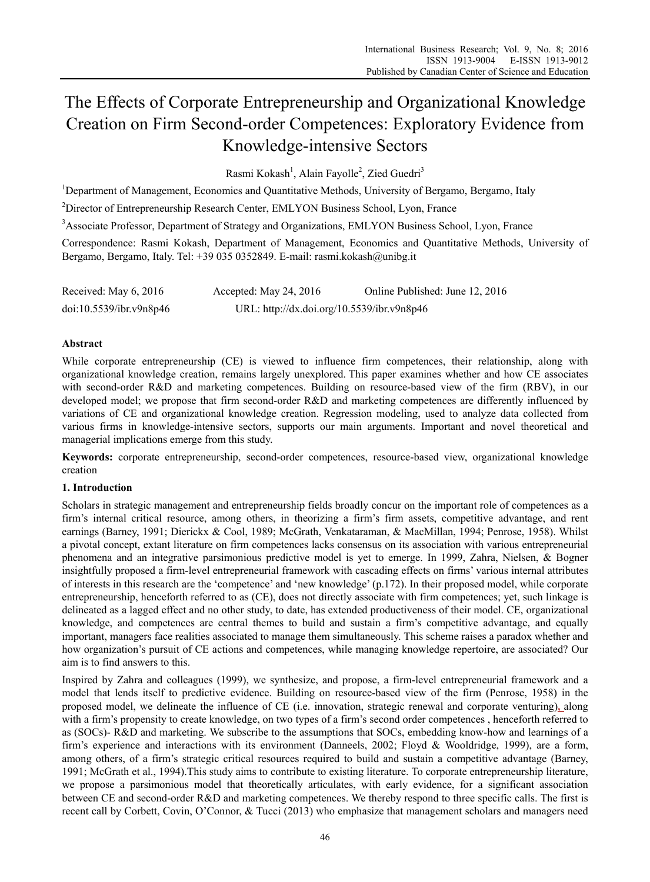# The Effects of Corporate Entrepreneurship and Organizational Knowledge Creation on Firm Second-order Competences: Exploratory Evidence from Knowledge-intensive Sectors

Rasmi Kokash<sup>1</sup>, Alain Fayolle<sup>2</sup>, Zied Guedri<sup>3</sup>

<sup>1</sup>Department of Management, Economics and Quantitative Methods, University of Bergamo, Bergamo, Italy

<sup>2</sup>Director of Entrepreneurship Research Center, EMLYON Business School, Lyon, France

<sup>3</sup> Associate Professor, Department of Strategy and Organizations, EMLYON Business School, Lyon, France

Correspondence: Rasmi Kokash, Department of Management, Economics and Quantitative Methods, University of Bergamo, Bergamo, Italy. Tel: +39 035 0352849. E-mail: rasmi.kokash@unibg.it

Received: May 6, 2016 Accepted: May 24, 2016 Online Published: June 12, 2016 doi:10.5539/ibr.v9n8p46 URL: http://dx.doi.org/10.5539/ibr.v9n8p46

## **Abstract**

While corporate entrepreneurship (CE) is viewed to influence firm competences, their relationship, along with organizational knowledge creation, remains largely unexplored. This paper examines whether and how CE associates with second-order R&D and marketing competences. Building on resource-based view of the firm (RBV), in our developed model; we propose that firm second-order R&D and marketing competences are differently influenced by variations of CE and organizational knowledge creation. Regression modeling, used to analyze data collected from various firms in knowledge-intensive sectors, supports our main arguments. Important and novel theoretical and managerial implications emerge from this study.

**Keywords:** corporate entrepreneurship, second-order competences, resource-based view, organizational knowledge creation

## **1. Introduction**

Scholars in strategic management and entrepreneurship fields broadly concur on the important role of competences as a firm's internal critical resource, among others, in theorizing a firm's firm assets, competitive advantage, and rent earnings (Barney, 1991; Dierickx & Cool, 1989; McGrath, Venkataraman, & MacMillan, 1994; Penrose, 1958). Whilst a pivotal concept, extant literature on firm competences lacks consensus on its association with various entrepreneurial phenomena and an integrative parsimonious predictive model is yet to emerge. In 1999, Zahra, Nielsen, & Bogner insightfully proposed a firm-level entrepreneurial framework with cascading effects on firms' various internal attributes of interests in this research are the 'competence' and 'new knowledge' (p.172). In their proposed model, while corporate entrepreneurship, henceforth referred to as (CE), does not directly associate with firm competences; yet, such linkage is delineated as a lagged effect and no other study, to date, has extended productiveness of their model. CE, organizational knowledge, and competences are central themes to build and sustain a firm's competitive advantage, and equally important, managers face realities associated to manage them simultaneously. This scheme raises a paradox whether and how organization's pursuit of CE actions and competences, while managing knowledge repertoire, are associated? Our aim is to find answers to this.

Inspired by Zahra and colleagues (1999), we synthesize, and propose, a firm-level entrepreneurial framework and a model that lends itself to predictive evidence. Building on resource-based view of the firm (Penrose, 1958) in the proposed model, we delineate the influence of CE (i.e. innovation, strategic renewal and corporate venturing)**,** along with a firm's propensity to create knowledge, on two types of a firm's second order competences , henceforth referred to as (SOCs)- R&D and marketing. We subscribe to the assumptions that SOCs, embedding know-how and learnings of a firm's experience and interactions with its environment (Danneels, 2002; Floyd & Wooldridge, 1999), are a form, among others, of a firm's strategic critical resources required to build and sustain a competitive advantage (Barney, 1991; McGrath et al., 1994).This study aims to contribute to existing literature. To corporate entrepreneurship literature, we propose a parsimonious model that theoretically articulates, with early evidence, for a significant association between CE and second-order R&D and marketing competences. We thereby respond to three specific calls. The first is recent call by Corbett, Covin, O'Connor, & Tucci (2013) who emphasize that management scholars and managers need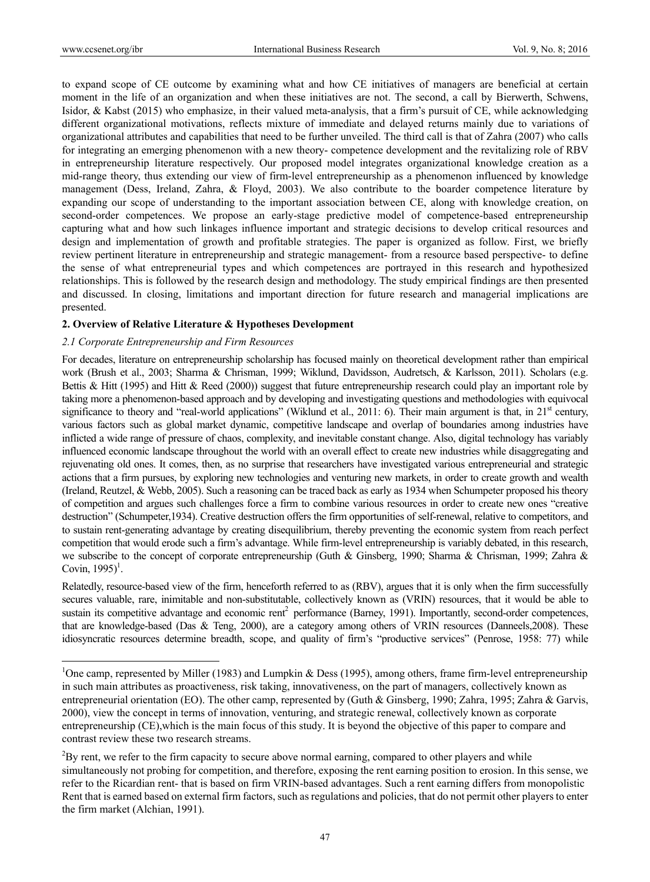$\overline{a}$ 

to expand scope of CE outcome by examining what and how CE initiatives of managers are beneficial at certain moment in the life of an organization and when these initiatives are not. The second, a call by Bierwerth, Schwens, Isidor, & Kabst (2015) who emphasize, in their valued meta-analysis, that a firm's pursuit of CE, while acknowledging different organizational motivations, reflects mixture of immediate and delayed returns mainly due to variations of organizational attributes and capabilities that need to be further unveiled. The third call is that of Zahra (2007) who calls for integrating an emerging phenomenon with a new theory- competence development and the revitalizing role of RBV in entrepreneurship literature respectively. Our proposed model integrates organizational knowledge creation as a mid-range theory, thus extending our view of firm-level entrepreneurship as a phenomenon influenced by knowledge management (Dess, Ireland, Zahra, & Floyd, 2003). We also contribute to the boarder competence literature by expanding our scope of understanding to the important association between CE, along with knowledge creation, on second-order competences. We propose an early-stage predictive model of competence-based entrepreneurship capturing what and how such linkages influence important and strategic decisions to develop critical resources and design and implementation of growth and profitable strategies. The paper is organized as follow. First, we briefly review pertinent literature in entrepreneurship and strategic management- from a resource based perspective- to define the sense of what entrepreneurial types and which competences are portrayed in this research and hypothesized relationships. This is followed by the research design and methodology. The study empirical findings are then presented and discussed. In closing, limitations and important direction for future research and managerial implications are presented.

## **2. Overview of Relative Literature & Hypotheses Development**

## *2.1 Corporate Entrepreneurship and Firm Resources*

For decades, literature on entrepreneurship scholarship has focused mainly on theoretical development rather than empirical work (Brush et al., 2003; Sharma & Chrisman, 1999; Wiklund, Davidsson, Audretsch, & Karlsson, 2011). Scholars (e.g. Bettis & Hitt (1995) and Hitt & Reed (2000)) suggest that future entrepreneurship research could play an important role by taking more a phenomenon-based approach and by developing and investigating questions and methodologies with equivocal significance to theory and "real-world applications" (Wiklund et al., 2011: 6). Their main argument is that, in 21<sup>st</sup> century, various factors such as global market dynamic, competitive landscape and overlap of boundaries among industries have inflicted a wide range of pressure of chaos, complexity, and inevitable constant change. Also, digital technology has variably influenced economic landscape throughout the world with an overall effect to create new industries while disaggregating and rejuvenating old ones. It comes, then, as no surprise that researchers have investigated various entrepreneurial and strategic actions that a firm pursues, by exploring new technologies and venturing new markets, in order to create growth and wealth (Ireland, Reutzel, & Webb, 2005). Such a reasoning can be traced back as early as 1934 when Schumpeter proposed his theory of competition and argues such challenges force a firm to combine various resources in order to create new ones "creative destruction" (Schumpeter,1934). Creative destruction offers the firm opportunities of self-renewal, relative to competitors, and to sustain rent-generating advantage by creating disequilibrium, thereby preventing the economic system from reach perfect competition that would erode such a firm's advantage. While firm-level entrepreneurship is variably debated, in this research, we subscribe to the concept of corporate entrepreneurship (Guth & Ginsberg, 1990; Sharma & Chrisman, 1999; Zahra & Covin,  $1995$ <sup>1</sup>.

Relatedly, resource-based view of the firm, henceforth referred to as (RBV), argues that it is only when the firm successfully secures valuable, rare, inimitable and non-substitutable, collectively known as (VRIN) resources, that it would be able to sustain its competitive advantage and economic rent<sup>2</sup> performance (Barney, 1991). Importantly, second-order competences, that are knowledge-based (Das & Teng, 2000), are a category among others of VRIN resources (Danneels,2008). These idiosyncratic resources determine breadth, scope, and quality of firm's "productive services" (Penrose, 1958: 77) while

<sup>&</sup>lt;sup>1</sup>One camp, represented by Miller (1983) and Lumpkin & Dess (1995), among others, frame firm-level entrepreneurship in such main attributes as proactiveness, risk taking, innovativeness, on the part of managers, collectively known as entrepreneurial orientation (EO). The other camp, represented by (Guth & Ginsberg, 1990; Zahra, 1995; Zahra & Garvis, 2000), view the concept in terms of innovation, venturing, and strategic renewal, collectively known as corporate entrepreneurship (CE),which is the main focus of this study. It is beyond the objective of this paper to compare and contrast review these two research streams.

 $2<sup>2</sup>$ By rent, we refer to the firm capacity to secure above normal earning, compared to other players and while simultaneously not probing for competition, and therefore, exposing the rent earning position to erosion. In this sense, we refer to the Ricardian rent- that is based on firm VRIN-based advantages. Such a rent earning differs from monopolistic Rent that is earned based on external firm factors, such as regulations and policies, that do not permit other players to enter the firm market (Alchian, 1991).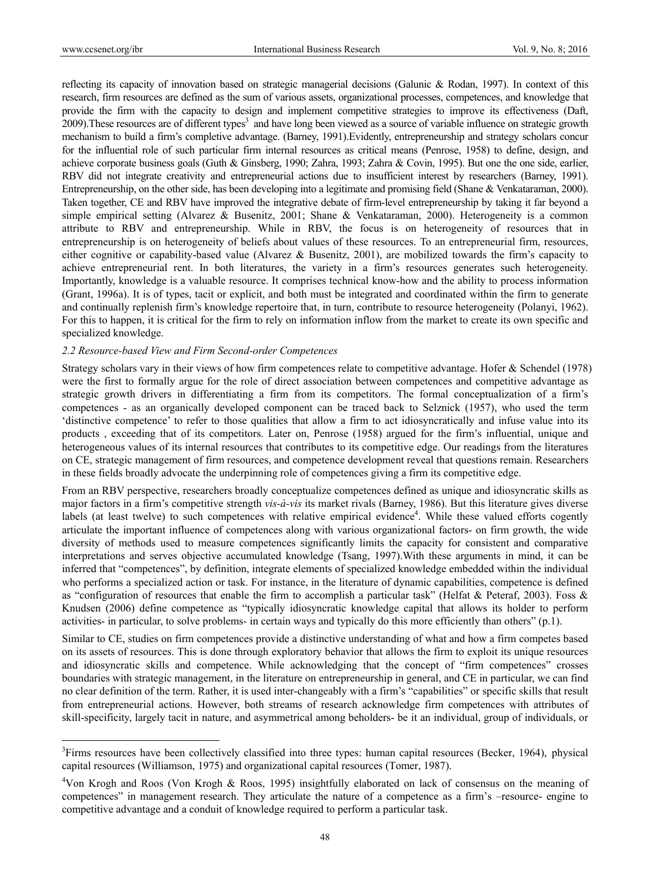$\overline{a}$ 

reflecting its capacity of innovation based on strategic managerial decisions (Galunic & Rodan, 1997). In context of this research, firm resources are defined as the sum of various assets, organizational processes, competences, and knowledge that provide the firm with the capacity to design and implement competitive strategies to improve its effectiveness (Daft, 2009). These resources are of different types<sup>3</sup> and have long been viewed as a source of variable influence on strategic growth mechanism to build a firm's completive advantage. (Barney, 1991).Evidently, entrepreneurship and strategy scholars concur for the influential role of such particular firm internal resources as critical means (Penrose, 1958) to define, design, and achieve corporate business goals (Guth & Ginsberg, 1990; Zahra, 1993; Zahra & Covin, 1995). But one the one side, earlier, RBV did not integrate creativity and entrepreneurial actions due to insufficient interest by researchers (Barney, 1991). Entrepreneurship, on the other side, has been developing into a legitimate and promising field (Shane & Venkataraman, 2000). Taken together, CE and RBV have improved the integrative debate of firm-level entrepreneurship by taking it far beyond a simple empirical setting (Alvarez & Busenitz, 2001; Shane & Venkataraman, 2000). Heterogeneity is a common attribute to RBV and entrepreneurship. While in RBV, the focus is on heterogeneity of resources that in entrepreneurship is on heterogeneity of beliefs about values of these resources. To an entrepreneurial firm, resources, either cognitive or capability-based value (Alvarez & Busenitz, 2001), are mobilized towards the firm's capacity to achieve entrepreneurial rent. In both literatures, the variety in a firm's resources generates such heterogeneity. Importantly, knowledge is a valuable resource. It comprises technical know-how and the ability to process information (Grant, 1996a). It is of types, tacit or explicit, and both must be integrated and coordinated within the firm to generate and continually replenish firm's knowledge repertoire that, in turn, contribute to resource heterogeneity (Polanyi, 1962). For this to happen, it is critical for the firm to rely on information inflow from the market to create its own specific and specialized knowledge.

## *2.2 Resource-based View and Firm Second-order Competences*

Strategy scholars vary in their views of how firm competences relate to competitive advantage. Hofer & Schendel (1978) were the first to formally argue for the role of direct association between competences and competitive advantage as strategic growth drivers in differentiating a firm from its competitors. The formal conceptualization of a firm's competences - as an organically developed component can be traced back to Selznick (1957), who used the term 'distinctive competence' to refer to those qualities that allow a firm to act idiosyncratically and infuse value into its products , exceeding that of its competitors. Later on, Penrose (1958) argued for the firm's influential, unique and heterogeneous values of its internal resources that contributes to its competitive edge. Our readings from the literatures on CE, strategic management of firm resources, and competence development reveal that questions remain. Researchers in these fields broadly advocate the underpinning role of competences giving a firm its competitive edge.

From an RBV perspective, researchers broadly conceptualize competences defined as unique and idiosyncratic skills as major factors in a firm's competitive strength *vis-à-vis* its market rivals (Barney, 1986). But this literature gives diverse labels (at least twelve) to such competences with relative empirical evidence<sup>4</sup>. While these valued efforts cogently articulate the important influence of competences along with various organizational factors- on firm growth, the wide diversity of methods used to measure competences significantly limits the capacity for consistent and comparative interpretations and serves objective accumulated knowledge (Tsang, 1997).With these arguments in mind, it can be inferred that "competences", by definition, integrate elements of specialized knowledge embedded within the individual who performs a specialized action or task. For instance, in the literature of dynamic capabilities, competence is defined as "configuration of resources that enable the firm to accomplish a particular task" (Helfat & Peteraf, 2003). Foss & Knudsen (2006) define competence as "typically idiosyncratic knowledge capital that allows its holder to perform activities- in particular, to solve problems- in certain ways and typically do this more efficiently than others" (p.1).

Similar to CE, studies on firm competences provide a distinctive understanding of what and how a firm competes based on its assets of resources. This is done through exploratory behavior that allows the firm to exploit its unique resources and idiosyncratic skills and competence. While acknowledging that the concept of "firm competences" crosses boundaries with strategic management, in the literature on entrepreneurship in general, and CE in particular, we can find no clear definition of the term. Rather, it is used inter-changeably with a firm's "capabilities" or specific skills that result from entrepreneurial actions. However, both streams of research acknowledge firm competences with attributes of skill-specificity, largely tacit in nature, and asymmetrical among beholders- be it an individual, group of individuals, or

<sup>&</sup>lt;sup>3</sup>Firms resources have been collectively classified into three types: human capital resources (Becker, 1964), physical capital resources (Williamson, 1975) and organizational capital resources (Tomer, 1987).

<sup>4</sup> Von Krogh and Roos (Von Krogh & Roos, 1995) insightfully elaborated on lack of consensus on the meaning of competences" in management research. They articulate the nature of a competence as a firm's –resource- engine to competitive advantage and a conduit of knowledge required to perform a particular task.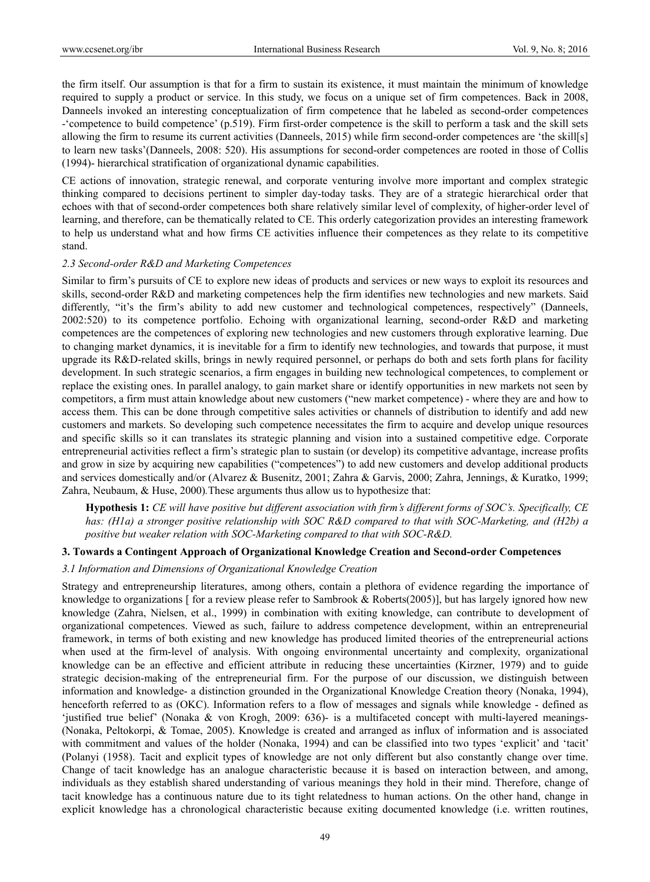the firm itself. Our assumption is that for a firm to sustain its existence, it must maintain the minimum of knowledge required to supply a product or service. In this study, we focus on a unique set of firm competences. Back in 2008, Danneels invoked an interesting conceptualization of firm competence that he labeled as second-order competences -'competence to build competence' (p.519). Firm first-order competence is the skill to perform a task and the skill sets allowing the firm to resume its current activities (Danneels, 2015) while firm second-order competences are 'the skill[s] to learn new tasks'(Danneels, 2008: 520). His assumptions for second-order competences are rooted in those of Collis (1994)- hierarchical stratification of organizational dynamic capabilities.

CE actions of innovation, strategic renewal, and corporate venturing involve more important and complex strategic thinking compared to decisions pertinent to simpler day-today tasks. They are of a strategic hierarchical order that echoes with that of second-order competences both share relatively similar level of complexity, of higher-order level of learning, and therefore, can be thematically related to CE. This orderly categorization provides an interesting framework to help us understand what and how firms CE activities influence their competences as they relate to its competitive stand.

#### *2.3 Second-order R&D and Marketing Competences*

Similar to firm's pursuits of CE to explore new ideas of products and services or new ways to exploit its resources and skills, second-order R&D and marketing competences help the firm identifies new technologies and new markets. Said differently, "it's the firm's ability to add new customer and technological competences, respectively" (Danneels, 2002:520) to its competence portfolio. Echoing with organizational learning, second-order R&D and marketing competences are the competences of exploring new technologies and new customers through explorative learning. Due to changing market dynamics, it is inevitable for a firm to identify new technologies, and towards that purpose, it must upgrade its R&D-related skills, brings in newly required personnel, or perhaps do both and sets forth plans for facility development. In such strategic scenarios, a firm engages in building new technological competences, to complement or replace the existing ones. In parallel analogy, to gain market share or identify opportunities in new markets not seen by competitors, a firm must attain knowledge about new customers ("new market competence) - where they are and how to access them. This can be done through competitive sales activities or channels of distribution to identify and add new customers and markets. So developing such competence necessitates the firm to acquire and develop unique resources and specific skills so it can translates its strategic planning and vision into a sustained competitive edge. Corporate entrepreneurial activities reflect a firm's strategic plan to sustain (or develop) its competitive advantage, increase profits and grow in size by acquiring new capabilities ("competences") to add new customers and develop additional products and services domestically and/or (Alvarez & Busenitz, 2001; Zahra & Garvis, 2000; Zahra, Jennings, & Kuratko, 1999; Zahra, Neubaum, & Huse, 2000)*.*These arguments thus allow us to hypothesize that:

**Hypothesis 1:** *CE will have positive but different association with firm's different forms of SOC's. Specifically, CE has: (H1a) a stronger positive relationship with SOC R&D compared to that with SOC-Marketing, and (H2b) a positive but weaker relation with SOC-Marketing compared to that with SOC-R&D.*

#### **3. Towards a Contingent Approach of Organizational Knowledge Creation and Second-order Competences**

## *3.1 Information and Dimensions of Organizational Knowledge Creation*

Strategy and entrepreneurship literatures, among others, contain a plethora of evidence regarding the importance of knowledge to organizations [ for a review please refer to Sambrook & Roberts(2005)], but has largely ignored how new knowledge (Zahra, Nielsen, et al., 1999) in combination with exiting knowledge, can contribute to development of organizational competences. Viewed as such, failure to address competence development, within an entrepreneurial framework, in terms of both existing and new knowledge has produced limited theories of the entrepreneurial actions when used at the firm-level of analysis. With ongoing environmental uncertainty and complexity, organizational knowledge can be an effective and efficient attribute in reducing these uncertainties (Kirzner, 1979) and to guide strategic decision-making of the entrepreneurial firm. For the purpose of our discussion, we distinguish between information and knowledge- a distinction grounded in the Organizational Knowledge Creation theory (Nonaka, 1994), henceforth referred to as (OKC). Information refers to a flow of messages and signals while knowledge - defined as 'justified true belief' (Nonaka & von Krogh, 2009: 636)- is a multifaceted concept with multi-layered meanings-(Nonaka, Peltokorpi, & Tomae, 2005). Knowledge is created and arranged as influx of information and is associated with commitment and values of the holder (Nonaka, 1994) and can be classified into two types 'explicit' and 'tacit' (Polanyi (1958). Tacit and explicit types of knowledge are not only different but also constantly change over time. Change of tacit knowledge has an analogue characteristic because it is based on interaction between, and among, individuals as they establish shared understanding of various meanings they hold in their mind. Therefore, change of tacit knowledge has a continuous nature due to its tight relatedness to human actions. On the other hand, change in explicit knowledge has a chronological characteristic because exiting documented knowledge (i.e. written routines,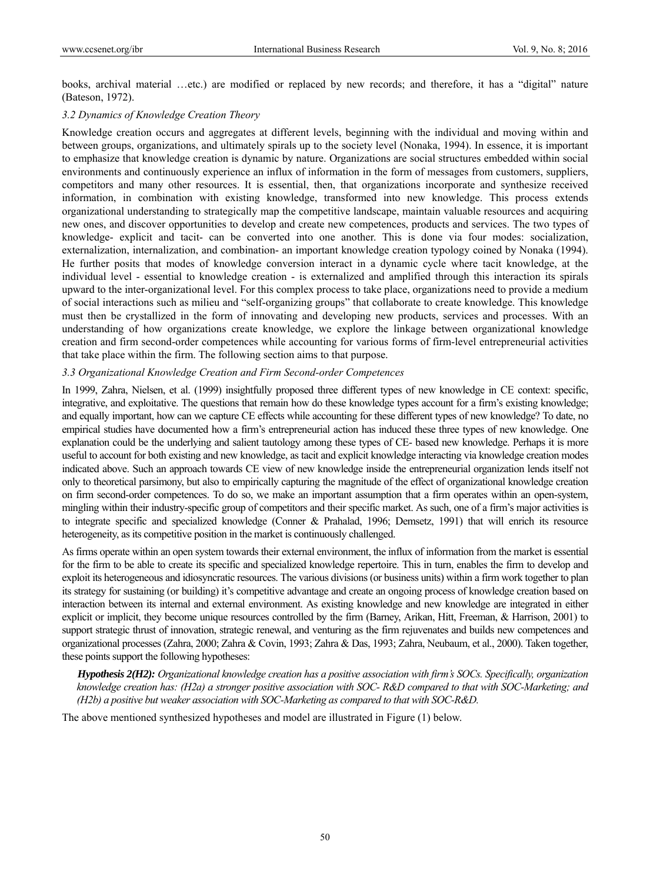books, archival material …etc.) are modified or replaced by new records; and therefore, it has a "digital" nature (Bateson, 1972).

## *3.2 Dynamics of Knowledge Creation Theory*

Knowledge creation occurs and aggregates at different levels, beginning with the individual and moving within and between groups, organizations, and ultimately spirals up to the society level (Nonaka, 1994). In essence, it is important to emphasize that knowledge creation is dynamic by nature. Organizations are social structures embedded within social environments and continuously experience an influx of information in the form of messages from customers, suppliers, competitors and many other resources. It is essential, then, that organizations incorporate and synthesize received information, in combination with existing knowledge, transformed into new knowledge. This process extends organizational understanding to strategically map the competitive landscape, maintain valuable resources and acquiring new ones, and discover opportunities to develop and create new competences, products and services. The two types of knowledge- explicit and tacit- can be converted into one another. This is done via four modes: socialization, externalization, internalization, and combination- an important knowledge creation typology coined by Nonaka (1994). He further posits that modes of knowledge conversion interact in a dynamic cycle where tacit knowledge, at the individual level - essential to knowledge creation - is externalized and amplified through this interaction its spirals upward to the inter-organizational level. For this complex process to take place, organizations need to provide a medium of social interactions such as milieu and "self-organizing groups" that collaborate to create knowledge. This knowledge must then be crystallized in the form of innovating and developing new products, services and processes. With an understanding of how organizations create knowledge, we explore the linkage between organizational knowledge creation and firm second-order competences while accounting for various forms of firm-level entrepreneurial activities that take place within the firm. The following section aims to that purpose.

## *3.3 Organizational Knowledge Creation and Firm Second-order Competences*

In 1999, Zahra, Nielsen, et al. (1999) insightfully proposed three different types of new knowledge in CE context: specific, integrative, and exploitative. The questions that remain how do these knowledge types account for a firm's existing knowledge; and equally important, how can we capture CE effects while accounting for these different types of new knowledge? To date, no empirical studies have documented how a firm's entrepreneurial action has induced these three types of new knowledge. One explanation could be the underlying and salient tautology among these types of CE- based new knowledge. Perhaps it is more useful to account for both existing and new knowledge, as tacit and explicit knowledge interacting via knowledge creation modes indicated above. Such an approach towards CE view of new knowledge inside the entrepreneurial organization lends itself not only to theoretical parsimony, but also to empirically capturing the magnitude of the effect of organizational knowledge creation on firm second-order competences. To do so, we make an important assumption that a firm operates within an open-system, mingling within their industry-specific group of competitors and their specific market. As such, one of a firm's major activities is to integrate specific and specialized knowledge (Conner & Prahalad, 1996; Demsetz, 1991) that will enrich its resource heterogeneity, as its competitive position in the market is continuously challenged.

As firms operate within an open system towards their external environment, the influx of information from the market is essential for the firm to be able to create its specific and specialized knowledge repertoire. This in turn, enables the firm to develop and exploit its heterogeneous and idiosyncratic resources. The various divisions (or business units) within a firm work together to plan its strategy for sustaining (or building) it's competitive advantage and create an ongoing process of knowledge creation based on interaction between its internal and external environment. As existing knowledge and new knowledge are integrated in either explicit or implicit, they become unique resources controlled by the firm (Barney, Arikan, Hitt, Freeman, & Harrison, 2001) to support strategic thrust of innovation, strategic renewal, and venturing as the firm rejuvenates and builds new competences and organizational processes (Zahra, 2000; Zahra & Covin, 1993; Zahra & Das, 1993; Zahra, Neubaum, et al., 2000). Taken together, these points support the following hypotheses:

*Hypothesis 2(H2): Organizational knowledge creation has a positive association with firm's SOCs. Specifically, organization knowledge creation has: (H2a) a stronger positive association with SOC- R&D compared to that with SOC-Marketing; and (H2b) a positive but weaker association with SOC-Marketing as compared to that with SOC-R&D.* 

The above mentioned synthesized hypotheses and model are illustrated in Figure (1) below.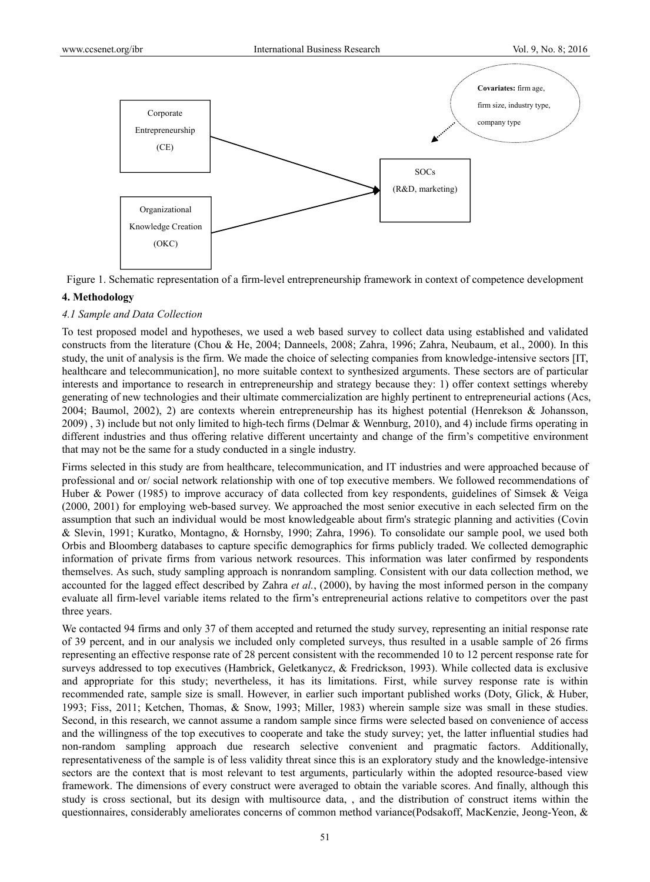

Figure 1. Schematic representation of a firm-level entrepreneurship framework in context of competence development

## **4. Methodology**

#### *4.1 Sample and Data Collection*

To test proposed model and hypotheses, we used a web based survey to collect data using established and validated constructs from the literature (Chou & He, 2004; Danneels, 2008; Zahra, 1996; Zahra, Neubaum, et al., 2000). In this study, the unit of analysis is the firm. We made the choice of selecting companies from knowledge-intensive sectors [IT, healthcare and telecommunication], no more suitable context to synthesized arguments. These sectors are of particular interests and importance to research in entrepreneurship and strategy because they: 1) offer context settings whereby generating of new technologies and their ultimate commercialization are highly pertinent to entrepreneurial actions (Acs, 2004; Baumol, 2002), 2) are contexts wherein entrepreneurship has its highest potential (Henrekson & Johansson, 2009) , 3) include but not only limited to high-tech firms (Delmar & Wennburg, 2010), and 4) include firms operating in different industries and thus offering relative different uncertainty and change of the firm's competitive environment that may not be the same for a study conducted in a single industry.

Firms selected in this study are from healthcare, telecommunication, and IT industries and were approached because of professional and or/ social network relationship with one of top executive members. We followed recommendations of Huber & Power (1985) to improve accuracy of data collected from key respondents, guidelines of Simsek & Veiga (2000, 2001) for employing web-based survey. We approached the most senior executive in each selected firm on the assumption that such an individual would be most knowledgeable about firm's strategic planning and activities (Covin & Slevin, 1991; Kuratko, Montagno, & Hornsby, 1990; Zahra, 1996). To consolidate our sample pool, we used both Orbis and Bloomberg databases to capture specific demographics for firms publicly traded. We collected demographic information of private firms from various network resources. This information was later confirmed by respondents themselves. As such, study sampling approach is nonrandom sampling. Consistent with our data collection method, we accounted for the lagged effect described by Zahra *et al.*, (2000), by having the most informed person in the company evaluate all firm-level variable items related to the firm's entrepreneurial actions relative to competitors over the past three years.

We contacted 94 firms and only 37 of them accepted and returned the study survey, representing an initial response rate of 39 percent, and in our analysis we included only completed surveys, thus resulted in a usable sample of 26 firms representing an effective response rate of 28 percent consistent with the recommended 10 to 12 percent response rate for surveys addressed to top executives (Hambrick, Geletkanycz, & Fredrickson, 1993). While collected data is exclusive and appropriate for this study; nevertheless, it has its limitations. First, while survey response rate is within recommended rate, sample size is small. However, in earlier such important published works (Doty, Glick, & Huber, 1993; Fiss, 2011; Ketchen, Thomas, & Snow, 1993; Miller, 1983) wherein sample size was small in these studies. Second, in this research, we cannot assume a random sample since firms were selected based on convenience of access and the willingness of the top executives to cooperate and take the study survey; yet, the latter influential studies had non-random sampling approach due research selective convenient and pragmatic factors. Additionally, representativeness of the sample is of less validity threat since this is an exploratory study and the knowledge-intensive sectors are the context that is most relevant to test arguments, particularly within the adopted resource-based view framework. The dimensions of every construct were averaged to obtain the variable scores. And finally, although this study is cross sectional, but its design with multisource data, , and the distribution of construct items within the questionnaires, considerably ameliorates concerns of common method variance(Podsakoff, MacKenzie, Jeong-Yeon, &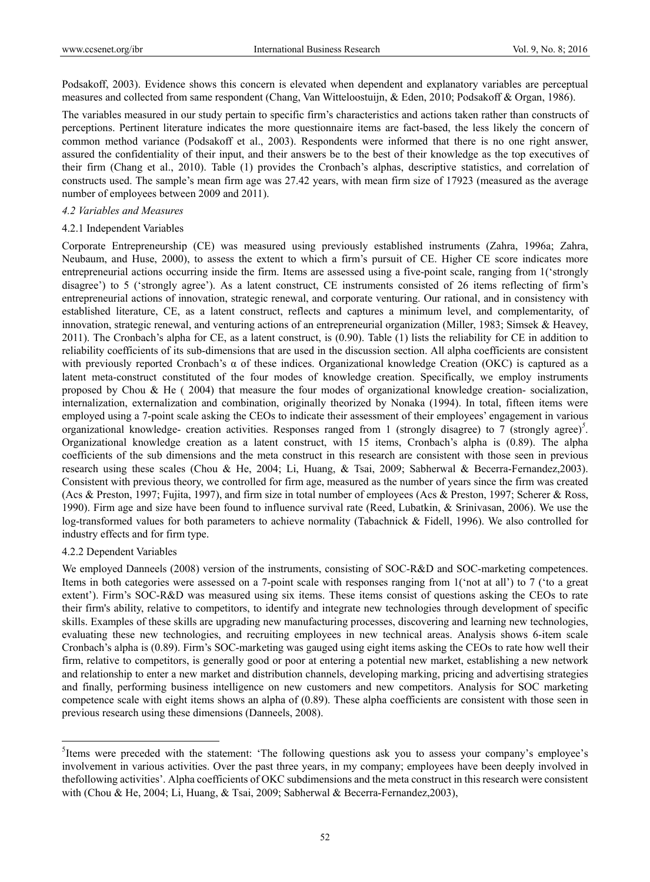Podsakoff, 2003). Evidence shows this concern is elevated when dependent and explanatory variables are perceptual measures and collected from same respondent (Chang, Van Witteloostuijn, & Eden, 2010; Podsakoff & Organ, 1986).

The variables measured in our study pertain to specific firm's characteristics and actions taken rather than constructs of perceptions. Pertinent literature indicates the more questionnaire items are fact-based, the less likely the concern of common method variance (Podsakoff et al., 2003). Respondents were informed that there is no one right answer, assured the confidentiality of their input, and their answers be to the best of their knowledge as the top executives of their firm (Chang et al., 2010). Table (1) provides the Cronbach's alphas, descriptive statistics, and correlation of constructs used. The sample's mean firm age was 27.42 years, with mean firm size of 17923 (measured as the average number of employees between 2009 and 2011).

#### *4.2 Variables and Measures*

#### 4.2.1 Independent Variables

Corporate Entrepreneurship (CE) was measured using previously established instruments (Zahra, 1996a; Zahra, Neubaum, and Huse, 2000), to assess the extent to which a firm's pursuit of CE. Higher CE score indicates more entrepreneurial actions occurring inside the firm. Items are assessed using a five-point scale, ranging from 1('strongly disagree') to 5 ('strongly agree'). As a latent construct, CE instruments consisted of 26 items reflecting of firm's entrepreneurial actions of innovation, strategic renewal, and corporate venturing. Our rational, and in consistency with established literature, CE, as a latent construct, reflects and captures a minimum level, and complementarity, of innovation, strategic renewal, and venturing actions of an entrepreneurial organization (Miller, 1983; Simsek & Heavey, 2011). The Cronbach's alpha for CE, as a latent construct, is (0.90). Table (1) lists the reliability for CE in addition to reliability coefficients of its sub-dimensions that are used in the discussion section. All alpha coefficients are consistent with previously reported Cronbach's  $\alpha$  of these indices. Organizational knowledge Creation (OKC) is captured as a latent meta-construct constituted of the four modes of knowledge creation. Specifically, we employ instruments proposed by Chou & He ( 2004) that measure the four modes of organizational knowledge creation- socialization, internalization, externalization and combination, originally theorized by Nonaka (1994). In total, fifteen items were employed using a 7-point scale asking the CEOs to indicate their assessment of their employees' engagement in various organizational knowledge- creation activities. Responses ranged from 1 (strongly disagree) to 7 (strongly agree)*<sup>5</sup>* . Organizational knowledge creation as a latent construct, with 15 items, Cronbach's alpha is (0.89). The alpha coefficients of the sub dimensions and the meta construct in this research are consistent with those seen in previous research using these scales (Chou & He, 2004; Li, Huang, & Tsai, 2009; Sabherwal & Becerra-Fernandez,2003). Consistent with previous theory, we controlled for firm age, measured as the number of years since the firm was created (Acs & Preston, 1997; Fujita, 1997), and firm size in total number of employees (Acs & Preston, 1997; Scherer & Ross, 1990). Firm age and size have been found to influence survival rate (Reed, Lubatkin, & Srinivasan, 2006). We use the log-transformed values for both parameters to achieve normality (Tabachnick & Fidell, 1996). We also controlled for industry effects and for firm type.

#### 4.2.2 Dependent Variables

 $\overline{a}$ 

We employed Danneels (2008) version of the instruments, consisting of SOC-R&D and SOC-marketing competences. Items in both categories were assessed on a 7-point scale with responses ranging from 1('not at all') to 7 ('to a great extent'). Firm's SOC-R&D was measured using six items. These items consist of questions asking the CEOs to rate their firm's ability, relative to competitors, to identify and integrate new technologies through development of specific skills. Examples of these skills are upgrading new manufacturing processes, discovering and learning new technologies, evaluating these new technologies, and recruiting employees in new technical areas. Analysis shows 6-item scale Cronbach's alpha is (0.89). Firm's SOC-marketing was gauged using eight items asking the CEOs to rate how well their firm, relative to competitors, is generally good or poor at entering a potential new market, establishing a new network and relationship to enter a new market and distribution channels, developing marking, pricing and advertising strategies and finally, performing business intelligence on new customers and new competitors. Analysis for SOC marketing competence scale with eight items shows an alpha of (0.89). These alpha coefficients are consistent with those seen in previous research using these dimensions (Danneels, 2008).

<sup>&</sup>lt;sup>5</sup>Items were preceded with the statement: 'The following questions ask you to assess your company's employee's involvement in various activities. Over the past three years, in my company; employees have been deeply involved in thefollowing activities'. Alpha coefficients of OKC subdimensions and the meta construct in this research were consistent with (Chou & He, 2004; Li, Huang, & Tsai, 2009; Sabherwal & Becerra-Fernandez,2003),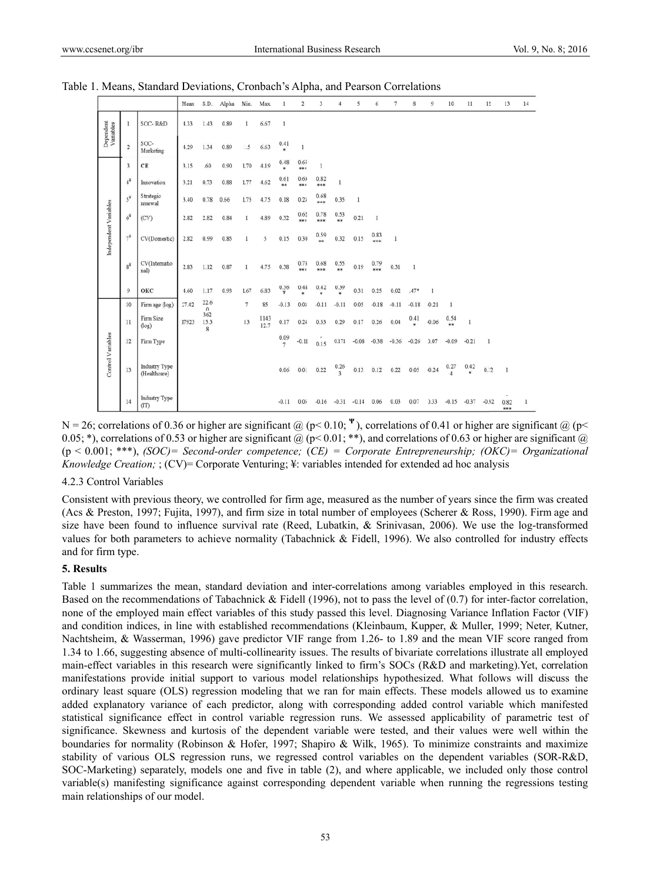|  |  |  | Table 1. Means, Standard Deviations, Cronbach's Alpha, and Pearson Correlations |
|--|--|--|---------------------------------------------------------------------------------|
|--|--|--|---------------------------------------------------------------------------------|

|                        |                         |                               | Mean  | S.D.             | Alpha | Nin.           | Max.         | 1                      | $\overline{2}$ | 3           | 4                               | 5              | 6           | 7            | 8       | 9       | 10                       | 11                         | 12           | 13          | 14 |
|------------------------|-------------------------|-------------------------------|-------|------------------|-------|----------------|--------------|------------------------|----------------|-------------|---------------------------------|----------------|-------------|--------------|---------|---------|--------------------------|----------------------------|--------------|-------------|----|
| Dependent<br>Variables |                         | SOC-R&D                       | 4.33  | 1.43             | 0.89  | 1              | 6.67         | 1                      |                |             |                                 |                |             |              |         |         |                          |                            |              |             |    |
|                        | $\overline{c}$          | SOC-<br>Marketing             | 4.29  | 1.34             | 0.89  | 1.5            | 6.63         | 0.41<br>$\star$        | 1              |             |                                 |                |             |              |         |         |                          |                            |              |             |    |
|                        | 3                       | CE                            | 3.15  | .60              | 0.90  | 1.70           | 4.19         | 0.48                   | 0.65<br>***    | 1           |                                 |                |             |              |         |         |                          |                            |              |             |    |
|                        | $4^*$                   | Innovation                    | 3.21  | 0.73             | 0.88  | 1.77           | 4.62         | 0.61<br>**             | 0.63<br>***    | 0.82<br>*** | 1                               |                |             |              |         |         |                          |                            |              |             |    |
|                        | $\xi^{\frac{1}{2}}$     | Strategic<br>renewal          | 3.40  | 0.78             | 0.66  | 1.75           | 4.75         | 0.18                   | 0.23           | 0.68        | 0.35                            | $\mathbf{1}$   |             |              |         |         |                          |                            |              |             |    |
|                        | $6^{\overline{\imath}}$ | (CV)                          | 2.82  | 2.82             | 0.84  | 1              | 4.89         | 0.32                   | 0.62<br>***    | 0.78<br>*** | 0.53<br>**                      | 0.21           | 1           |              |         |         |                          |                            |              |             |    |
| Independent Variables  | $7^{\frac{1}{2}}$       | CV(Domestic)                  | 2.82  | 0.99             | 0.85  | $\mathbf{1}$   | 5            | 0.15                   | 0.30           | 0.59        | 0.32                            | 0.15           | 0.83<br>*** | $\mathbf{1}$ |         |         |                          |                            |              |             |    |
|                        | $8^{\bar{*}}$           | CV(Internatio<br>nal)         | 2.83  | 1.12             | 0.87  | 1              | 4.75         | 0.38                   | 0.73<br>***    | 0.68<br>*** | 0.55<br>**                      | 0.19           | 0.79<br>*** | 0.31         | 1       |         |                          |                            |              |             |    |
|                        | $\mathbf Q$             | ОКС                           | 4.60  | 1.17             | 0.93  | 1.67           | 6.83         | 0.36                   | 0.48           | 0.42        | 0.39                            | 0.31           | 0.25        | 0.02         | $.47*$  | -1      |                          |                            |              |             |    |
|                        | 10                      | Firm age (log)                | 27.42 | 22.6<br>$\Omega$ |       | $\overline{7}$ | 85           | $-0.13$                | 0.03           | $-0.11$     | $-0.11$                         | 0.05           | $-0.18$     | $-0.11$      | $-0.18$ | $-0.21$ | 1                        |                            |              |             |    |
|                        | 11                      | Firm Size<br>(log)            | 17923 | 362<br>15.3<br>8 |       | 13             | 1143<br>12.7 | 0.17                   | 0.24           | 0.33        | 0.29                            | 0.17           | 0.26        | 0.04         | 0.41    | $-0.06$ | 0.54<br>**               | 1                          |              |             |    |
|                        | 12                      | Firm Type                     |       |                  |       |                |              | 0.09<br>$\overline{7}$ | $-0.11$        | 0.15        | 0.171                           | $-0.08$        | $-0.38$     | $-0.36$      | $-0.26$ | 0.07    | $-0.09$                  | $-0.21$                    | $\mathbf{I}$ |             |    |
| Control Variables      | 13                      | Industry Type<br>(Healthcare) |       |                  |       |                |              | 0.06                   | 0.01           | 0.22        | 0.26<br>$\overline{\mathbf{3}}$ | 0.13           | 0.12        | 0.22         | 0.05    | $-0.24$ | 0.27<br>$\boldsymbol{A}$ | 0.42<br>$\dot{\mathbf{x}}$ | 0.12         | 1           |    |
|                        | 14                      | <b>Industry Type</b><br>(TT)  |       |                  |       |                |              | $-0.11$                | 0.05           | $-0.16$     |                                 | $-0.31 - 0.14$ | 0.06        | 0.03         | 0.07    | 0.33    |                          | $-0.15 -0.37$              | $-0.32$      | 0.82<br>*** | 1  |

N = 26; correlations of 0.36 or higher are significant @ (p< 0.10;  $\Psi$ ), correlations of 0.41 or higher are significant @ (p< 0.05; \*), correlations of 0.53 or higher are significant @ (p< 0.01; \*\*), and correlations of 0.63 or higher are significant @  $(p < 0.001;$  \*\*\*), *(SOC)* = *Second-order competence;*  $(CE)$  = *Corporate Entrepreneurship;*  $(OKC)$  = *Organizational Knowledge Creation;* ; (CV)= Corporate Venturing; ¥: variables intended for extended ad hoc analysis

#### 4.2.3 Control Variables

Consistent with previous theory, we controlled for firm age, measured as the number of years since the firm was created (Acs & Preston, 1997; Fujita, 1997), and firm size in total number of employees (Scherer & Ross, 1990). Firm age and size have been found to influence survival rate (Reed, Lubatkin,  $\&$  Srinivasan, 2006). We use the log-transformed values for both parameters to achieve normality (Tabachnick & Fidell, 1996). We also controlled for industry effects and for firm type.

## **5. Results**

Table 1 summarizes the mean, standard deviation and inter-correlations among variables employed in this research. Based on the recommendations of Tabachnick & Fidell (1996), not to pass the level of  $(0.7)$  for inter-factor correlation, none of the employed main effect variables of this study passed this level. Diagnosing Variance Inflation Factor (VIF) and condition indices, in line with established recommendations (Kleinbaum, Kupper, & Muller, 1999; Neter, Kutner, Nachtsheim, & Wasserman, 1996) gave predictor VIF range from 1.26- to 1.89 and the mean VIF score ranged from 1.34 to 1.66, suggesting absence of multi-collinearity issues. The results of bivariate correlations illustrate all employed main-effect variables in this research were significantly linked to firm's SOCs (R&D and marketing).Yet, correlation manifestations provide initial support to various model relationships hypothesized. What follows will discuss the ordinary least square (OLS) regression modeling that we ran for main effects. These models allowed us to examine added explanatory variance of each predictor, along with corresponding added control variable which manifested statistical significance effect in control variable regression runs. We assessed applicability of parametric test of significance. Skewness and kurtosis of the dependent variable were tested, and their values were well within the boundaries for normality (Robinson & Hofer, 1997; Shapiro & Wilk, 1965). To minimize constraints and maximize stability of various OLS regression runs, we regressed control variables on the dependent variables (SOR-R&D, SOC-Marketing) separately, models one and five in table (2), and where applicable, we included only those control variable(s) manifesting significance against corresponding dependent variable when running the regressions testing main relationships of our model.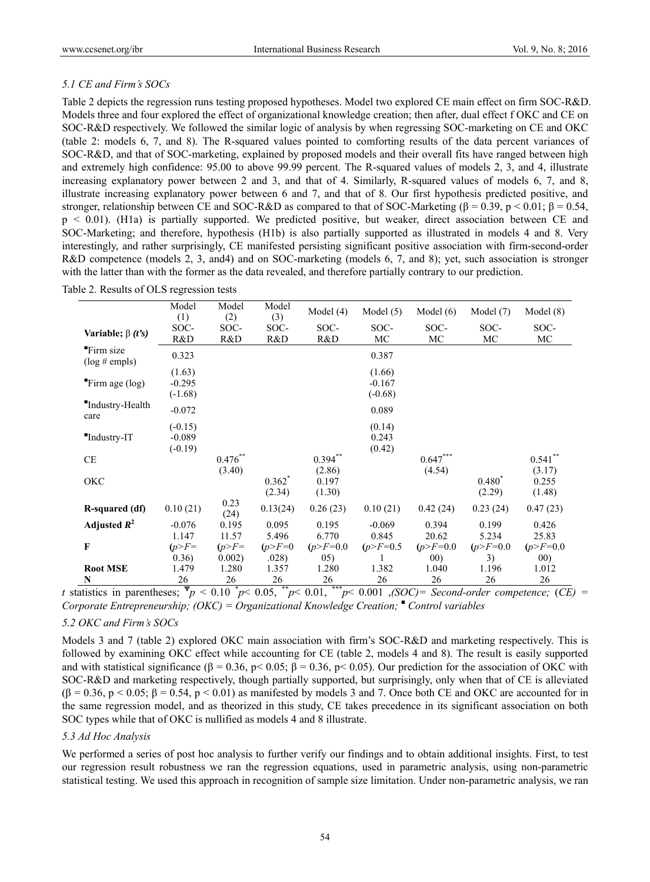## *5.1 CE and Firm's SOCs*

Table 2 depicts the regression runs testing proposed hypotheses. Model two explored CE main effect on firm SOC-R&D. Models three and four explored the effect of organizational knowledge creation; then after, dual effect f OKC and CE on SOC-R&D respectively. We followed the similar logic of analysis by when regressing SOC-marketing on CE and OKC (table 2: models 6, 7, and 8). The R-squared values pointed to comforting results of the data percent variances of SOC-R&D, and that of SOC-marketing, explained by proposed models and their overall fits have ranged between high and extremely high confidence: 95.00 to above 99.99 percent. The R-squared values of models 2, 3, and 4, illustrate increasing explanatory power between 2 and 3, and that of 4. Similarly, R-squared values of models 6, 7, and 8, illustrate increasing explanatory power between 6 and 7, and that of 8. Our first hypothesis predicted positive, and stronger, relationship between CE and SOC-R&D as compared to that of SOC-Marketing (β = 0.39, p < 0.01; β = 0.54, p < 0.01). (H1a) is partially supported. We predicted positive, but weaker, direct association between CE and SOC-Marketing; and therefore, hypothesis (H1b) is also partially supported as illustrated in models 4 and 8. Very interestingly, and rather surprisingly, CE manifested persisting significant positive association with firm-second-order R&D competence (models 2, 3, and4) and on SOC-marketing (models 6, 7, and 8); yet, such association is stronger with the latter than with the former as the data revealed, and therefore partially contrary to our prediction.

|                             | Model       | Model         | Model       | Model $(4)$ | Model $(5)$    | Model $(6)$            | Model $(7)$ | Model $(8)$           |
|-----------------------------|-------------|---------------|-------------|-------------|----------------|------------------------|-------------|-----------------------|
|                             | (1)         | (2)           | (3)         |             |                |                        |             |                       |
| Variable; $\beta(t's)$      | SOC-<br>R&D | SOC-<br>R&D   | SOC-<br>R&D | SOC-<br>R&D | SOC-<br>МC     | SOC-<br>МC             | SOC-<br>МC  | SOC-<br>МC            |
| "Firm size                  |             |               |             |             |                |                        |             |                       |
| $(\log \# \text{ employs})$ | 0.323       |               |             |             | 0.387          |                        |             |                       |
|                             | (1.63)      |               |             |             | (1.66)         |                        |             |                       |
| "Firm age (log)             | $-0.295$    |               |             |             | $-0.167$       |                        |             |                       |
|                             | $(-1.68)$   |               |             |             | $(-0.68)$      |                        |             |                       |
| "Industry-Health            |             |               |             |             |                |                        |             |                       |
| care                        | $-0.072$    |               |             |             | 0.089          |                        |             |                       |
|                             | $(-0.15)$   |               |             |             | (0.14)         |                        |             |                       |
| "Industry-IT                | $-0.089$    |               |             |             | 0.243          |                        |             |                       |
|                             | $(-0.19)$   |               |             |             | (0.42)         |                        |             |                       |
| CE                          |             | $0.476**$     |             | $0.394$ **  |                | $0.647^{\ast\ast\ast}$ |             | $0.541$ <sup>**</sup> |
|                             |             | (3.40)        |             | (2.86)      |                | (4.54)                 |             | (3.17)                |
| OKC                         |             |               | $0.362^*$   | 0.197       |                |                        | $0.480^{*}$ | 0.255                 |
|                             |             |               | (2.34)      | (1.30)      |                |                        | (2.29)      | (1.48)                |
| R-squared (df)              | 0.10(21)    | 0.23          | 0.13(24)    | 0.26(23)    | 0.10(21)       | 0.42(24)               | 0.23(24)    | 0.47(23)              |
| Adjusted $R^2$              | $-0.076$    | (24)<br>0.195 | 0.095       | 0.195       | $-0.069$       | 0.394                  | 0.199       | 0.426                 |
|                             | 1.147       | 11.57         | 5.496       | 6.770       | 0.845          | 20.62                  | 5.234       | 25.83                 |
| F                           | $(p>F=$     | $(p > F =$    | $(p>F=0$    | $(p>F=0.0$  | $(p > F = 0.5$ | $(p>F=0.0$             | $(p>F=0.0$  | $(p>F=0.0$            |
|                             | 0.36)       | 0.002)        | .028)       | 05)         |                | (00)                   | 3)          | (00)                  |
| <b>Root MSE</b>             | 1.479       | 1.280         | 1.357       | 1.280       | 1.382          | 1.040                  | 1.196       | 1.012                 |
| N                           | 26          | 26            | 26          | 26          | 26             | 26                     | 26          | 26                    |
|                             | w           | $-$ *         | **          | ***         |                |                        |             |                       |

| Table 2. Results of OLS regression tests |  |  |  |  |
|------------------------------------------|--|--|--|--|
|------------------------------------------|--|--|--|--|

*t* statistics in parentheses;  $\Psi_p < 0.10 \frac{p}{\epsilon} < 0.05$ ,  $\frac{k}{\epsilon}$   $p < 0.01$ ,  $\frac{k}{\epsilon} > 0.001$ , *(SOC)* = *Second-order competence*; *(CE)* = *Corporate Entrepreneurship; (OKC) = Organizational Knowledge Creation; ■ Control variables* 

## *5.2 OKC and Firm's SOCs*

Models 3 and 7 (table 2) explored OKC main association with firm's SOC-R&D and marketing respectively. This is followed by examining OKC effect while accounting for CE (table 2, models 4 and 8). The result is easily supported and with statistical significance ( $\beta = 0.36$ ,  $p < 0.05$ ;  $\beta = 0.36$ ,  $p < 0.05$ ). Our prediction for the association of OKC with SOC-R&D and marketing respectively, though partially supported, but surprisingly, only when that of CE is alleviated  $(\beta = 0.36, p < 0.05; \beta = 0.54, p < 0.01)$  as manifested by models 3 and 7. Once both CE and OKC are accounted for in the same regression model, and as theorized in this study, CE takes precedence in its significant association on both SOC types while that of OKC is nullified as models 4 and 8 illustrate.

## *5.3 Ad Hoc Analysis*

We performed a series of post hoc analysis to further verify our findings and to obtain additional insights. First, to test our regression result robustness we ran the regression equations, used in parametric analysis, using non-parametric statistical testing. We used this approach in recognition of sample size limitation. Under non-parametric analysis, we ran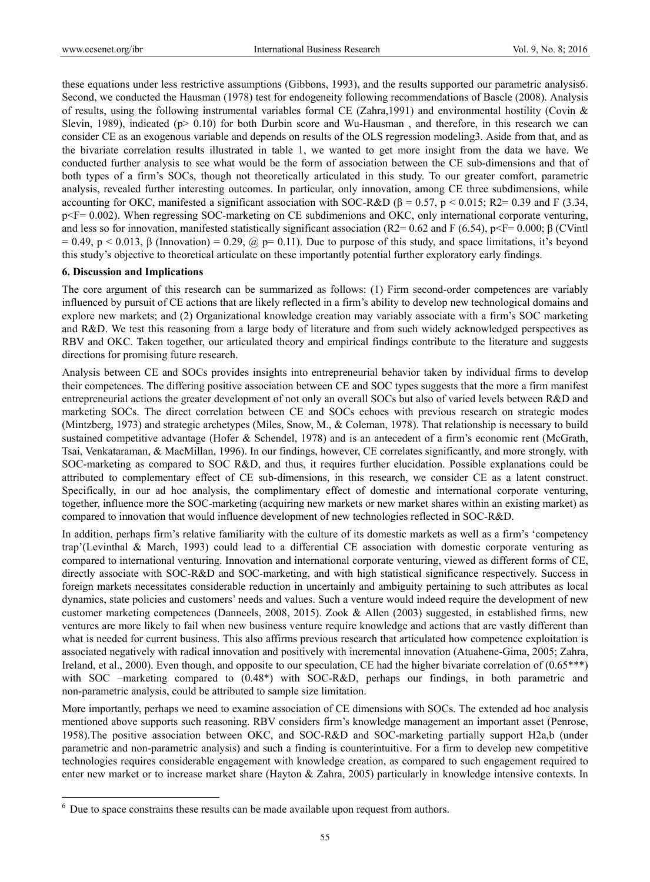these equations under less restrictive assumptions (Gibbons, 1993), and the results supported our parametric analysis6. Second, we conducted the Hausman (1978) test for endogeneity following recommendations of Bascle (2008). Analysis of results, using the following instrumental variables formal CE (Zahra,1991) and environmental hostility (Covin & Slevin, 1989), indicated (p> 0.10) for both Durbin score and Wu-Hausman , and therefore, in this research we can consider CE as an exogenous variable and depends on results of the OLS regression modeling3. Aside from that, and as the bivariate correlation results illustrated in table 1, we wanted to get more insight from the data we have. We conducted further analysis to see what would be the form of association between the CE sub-dimensions and that of both types of a firm's SOCs, though not theoretically articulated in this study. To our greater comfort, parametric analysis, revealed further interesting outcomes. In particular, only innovation, among CE three subdimensions, while accounting for OKC, manifested a significant association with SOC-R&D ( $\beta$  = 0.57, p < 0.015; R2= 0.39 and F (3.34, p<F= 0.002). When regressing SOC-marketing on CE subdimenions and OKC, only international corporate venturing, and less so for innovation, manifested statistically significant association (R2= 0.62 and F (6.54), p  $\leq$  = 0.000;  $\beta$  (CVintl = 0.49, p < 0.013, β (Innovation) = 0.29, @ p= 0.11). Due to purpose of this study, and space limitations, it's beyond this study's objective to theoretical articulate on these importantly potential further exploratory early findings.

#### **6. Discussion and Implications**

 $\overline{a}$ 

The core argument of this research can be summarized as follows: (1) Firm second-order competences are variably influenced by pursuit of CE actions that are likely reflected in a firm's ability to develop new technological domains and explore new markets; and (2) Organizational knowledge creation may variably associate with a firm's SOC marketing and R&D. We test this reasoning from a large body of literature and from such widely acknowledged perspectives as RBV and OKC. Taken together, our articulated theory and empirical findings contribute to the literature and suggests directions for promising future research.

Analysis between CE and SOCs provides insights into entrepreneurial behavior taken by individual firms to develop their competences. The differing positive association between CE and SOC types suggests that the more a firm manifest entrepreneurial actions the greater development of not only an overall SOCs but also of varied levels between R&D and marketing SOCs. The direct correlation between CE and SOCs echoes with previous research on strategic modes (Mintzberg, 1973) and strategic archetypes (Miles, Snow, M., & Coleman, 1978). That relationship is necessary to build sustained competitive advantage (Hofer & Schendel, 1978) and is an antecedent of a firm's economic rent (McGrath, Tsai, Venkataraman, & MacMillan, 1996). In our findings, however, CE correlates significantly, and more strongly, with SOC-marketing as compared to SOC R&D, and thus, it requires further elucidation. Possible explanations could be attributed to complementary effect of CE sub-dimensions, in this research, we consider CE as a latent construct. Specifically, in our ad hoc analysis, the complimentary effect of domestic and international corporate venturing, together, influence more the SOC-marketing (acquiring new markets or new market shares within an existing market) as compared to innovation that would influence development of new technologies reflected in SOC-R&D.

In addition, perhaps firm's relative familiarity with the culture of its domestic markets as well as a firm's 'competency trap'(Levinthal & March, 1993) could lead to a differential CE association with domestic corporate venturing as compared to international venturing. Innovation and international corporate venturing, viewed as different forms of CE, directly associate with SOC-R&D and SOC-marketing, and with high statistical significance respectively. Success in foreign markets necessitates considerable reduction in uncertainly and ambiguity pertaining to such attributes as local dynamics, state policies and customers' needs and values. Such a venture would indeed require the development of new customer marketing competences (Danneels, 2008, 2015). Zook & Allen (2003) suggested, in established firms, new ventures are more likely to fail when new business venture require knowledge and actions that are vastly different than what is needed for current business. This also affirms previous research that articulated how competence exploitation is associated negatively with radical innovation and positively with incremental innovation (Atuahene-Gima, 2005; Zahra, Ireland, et al., 2000). Even though, and opposite to our speculation, CE had the higher bivariate correlation of (0.65\*\*\*) with SOC –marketing compared to  $(0.48^*)$  with SOC-R&D, perhaps our findings, in both parametric and non-parametric analysis, could be attributed to sample size limitation.

More importantly, perhaps we need to examine association of CE dimensions with SOCs. The extended ad hoc analysis mentioned above supports such reasoning. RBV considers firm's knowledge management an important asset (Penrose, 1958).The positive association between OKC, and SOC-R&D and SOC-marketing partially support H2a,b (under parametric and non-parametric analysis) and such a finding is counterintuitive. For a firm to develop new competitive technologies requires considerable engagement with knowledge creation, as compared to such engagement required to enter new market or to increase market share (Hayton & Zahra, 2005) particularly in knowledge intensive contexts. In

 $6$  Due to space constrains these results can be made available upon request from authors.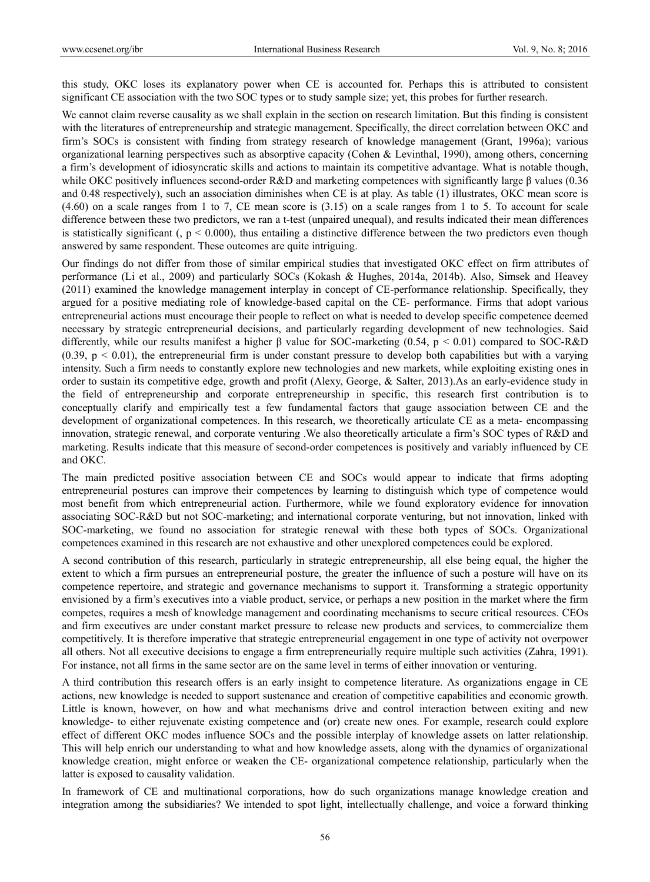this study, OKC loses its explanatory power when CE is accounted for. Perhaps this is attributed to consistent significant CE association with the two SOC types or to study sample size; yet, this probes for further research.

We cannot claim reverse causality as we shall explain in the section on research limitation. But this finding is consistent with the literatures of entrepreneurship and strategic management. Specifically, the direct correlation between OKC and firm's SOCs is consistent with finding from strategy research of knowledge management (Grant, 1996a); various organizational learning perspectives such as absorptive capacity (Cohen & Levinthal, 1990), among others, concerning a firm's development of idiosyncratic skills and actions to maintain its competitive advantage. What is notable though, while OKC positively influences second-order R&D and marketing competences with significantly large β values (0.36 and 0.48 respectively), such an association diminishes when CE is at play. As table (1) illustrates, OKC mean score is (4.60) on a scale ranges from 1 to 7, CE mean score is (3.15) on a scale ranges from 1 to 5. To account for scale difference between these two predictors, we ran a t-test (unpaired unequal), and results indicated their mean differences is statistically significant (,  $p < 0.000$ ), thus entailing a distinctive difference between the two predictors even though answered by same respondent. These outcomes are quite intriguing.

Our findings do not differ from those of similar empirical studies that investigated OKC effect on firm attributes of performance (Li et al., 2009) and particularly SOCs (Kokash & Hughes, 2014a, 2014b). Also, Simsek and Heavey (2011) examined the knowledge management interplay in concept of CE-performance relationship. Specifically, they argued for a positive mediating role of knowledge-based capital on the CE- performance. Firms that adopt various entrepreneurial actions must encourage their people to reflect on what is needed to develop specific competence deemed necessary by strategic entrepreneurial decisions, and particularly regarding development of new technologies. Said differently, while our results manifest a higher β value for SOC-marketing (0.54, p < 0.01) compared to SOC-R&D  $(0.39, p < 0.01)$ , the entrepreneurial firm is under constant pressure to develop both capabilities but with a varying intensity. Such a firm needs to constantly explore new technologies and new markets, while exploiting existing ones in order to sustain its competitive edge, growth and profit (Alexy, George, & Salter, 2013).As an early-evidence study in the field of entrepreneurship and corporate entrepreneurship in specific, this research first contribution is to conceptually clarify and empirically test a few fundamental factors that gauge association between CE and the development of organizational competences. In this research, we theoretically articulate CE as a meta- encompassing innovation, strategic renewal, and corporate venturing .We also theoretically articulate a firm's SOC types of R&D and marketing. Results indicate that this measure of second-order competences is positively and variably influenced by CE and OKC.

The main predicted positive association between CE and SOCs would appear to indicate that firms adopting entrepreneurial postures can improve their competences by learning to distinguish which type of competence would most benefit from which entrepreneurial action. Furthermore, while we found exploratory evidence for innovation associating SOC-R&D but not SOC-marketing; and international corporate venturing, but not innovation, linked with SOC-marketing, we found no association for strategic renewal with these both types of SOCs. Organizational competences examined in this research are not exhaustive and other unexplored competences could be explored.

A second contribution of this research, particularly in strategic entrepreneurship, all else being equal, the higher the extent to which a firm pursues an entrepreneurial posture, the greater the influence of such a posture will have on its competence repertoire, and strategic and governance mechanisms to support it. Transforming a strategic opportunity envisioned by a firm's executives into a viable product, service, or perhaps a new position in the market where the firm competes, requires a mesh of knowledge management and coordinating mechanisms to secure critical resources. CEOs and firm executives are under constant market pressure to release new products and services, to commercialize them competitively. It is therefore imperative that strategic entrepreneurial engagement in one type of activity not overpower all others. Not all executive decisions to engage a firm entrepreneurially require multiple such activities (Zahra, 1991). For instance, not all firms in the same sector are on the same level in terms of either innovation or venturing.

A third contribution this research offers is an early insight to competence literature. As organizations engage in CE actions, new knowledge is needed to support sustenance and creation of competitive capabilities and economic growth. Little is known, however, on how and what mechanisms drive and control interaction between exiting and new knowledge- to either rejuvenate existing competence and (or) create new ones. For example, research could explore effect of different OKC modes influence SOCs and the possible interplay of knowledge assets on latter relationship. This will help enrich our understanding to what and how knowledge assets, along with the dynamics of organizational knowledge creation, might enforce or weaken the CE- organizational competence relationship, particularly when the latter is exposed to causality validation.

In framework of CE and multinational corporations, how do such organizations manage knowledge creation and integration among the subsidiaries? We intended to spot light, intellectually challenge, and voice a forward thinking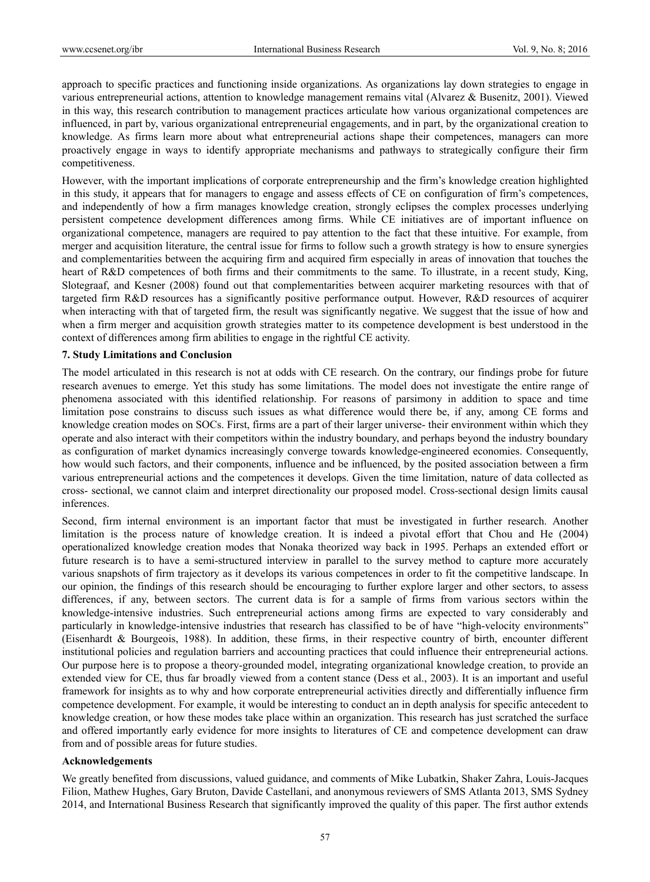approach to specific practices and functioning inside organizations. As organizations lay down strategies to engage in various entrepreneurial actions, attention to knowledge management remains vital (Alvarez & Busenitz, 2001). Viewed in this way, this research contribution to management practices articulate how various organizational competences are influenced, in part by, various organizational entrepreneurial engagements, and in part, by the organizational creation to knowledge. As firms learn more about what entrepreneurial actions shape their competences, managers can more proactively engage in ways to identify appropriate mechanisms and pathways to strategically configure their firm competitiveness.

However, with the important implications of corporate entrepreneurship and the firm's knowledge creation highlighted in this study, it appears that for managers to engage and assess effects of CE on configuration of firm's competences, and independently of how a firm manages knowledge creation, strongly eclipses the complex processes underlying persistent competence development differences among firms. While CE initiatives are of important influence on organizational competence, managers are required to pay attention to the fact that these intuitive. For example, from merger and acquisition literature, the central issue for firms to follow such a growth strategy is how to ensure synergies and complementarities between the acquiring firm and acquired firm especially in areas of innovation that touches the heart of R&D competences of both firms and their commitments to the same. To illustrate, in a recent study, King, Slotegraaf, and Kesner (2008) found out that complementarities between acquirer marketing resources with that of targeted firm R&D resources has a significantly positive performance output. However, R&D resources of acquirer when interacting with that of targeted firm, the result was significantly negative. We suggest that the issue of how and when a firm merger and acquisition growth strategies matter to its competence development is best understood in the context of differences among firm abilities to engage in the rightful CE activity.

## **7. Study Limitations and Conclusion**

The model articulated in this research is not at odds with CE research. On the contrary, our findings probe for future research avenues to emerge. Yet this study has some limitations. The model does not investigate the entire range of phenomena associated with this identified relationship. For reasons of parsimony in addition to space and time limitation pose constrains to discuss such issues as what difference would there be, if any, among CE forms and knowledge creation modes on SOCs. First, firms are a part of their larger universe- their environment within which they operate and also interact with their competitors within the industry boundary, and perhaps beyond the industry boundary as configuration of market dynamics increasingly converge towards knowledge-engineered economies. Consequently, how would such factors, and their components, influence and be influenced, by the posited association between a firm various entrepreneurial actions and the competences it develops. Given the time limitation, nature of data collected as cross- sectional, we cannot claim and interpret directionality our proposed model. Cross-sectional design limits causal inferences.

Second, firm internal environment is an important factor that must be investigated in further research. Another limitation is the process nature of knowledge creation. It is indeed a pivotal effort that Chou and He (2004) operationalized knowledge creation modes that Nonaka theorized way back in 1995. Perhaps an extended effort or future research is to have a semi-structured interview in parallel to the survey method to capture more accurately various snapshots of firm trajectory as it develops its various competences in order to fit the competitive landscape. In our opinion, the findings of this research should be encouraging to further explore larger and other sectors, to assess differences, if any, between sectors. The current data is for a sample of firms from various sectors within the knowledge-intensive industries. Such entrepreneurial actions among firms are expected to vary considerably and particularly in knowledge-intensive industries that research has classified to be of have "high-velocity environments" (Eisenhardt & Bourgeois, 1988). In addition, these firms, in their respective country of birth, encounter different institutional policies and regulation barriers and accounting practices that could influence their entrepreneurial actions. Our purpose here is to propose a theory-grounded model, integrating organizational knowledge creation, to provide an extended view for CE, thus far broadly viewed from a content stance (Dess et al., 2003). It is an important and useful framework for insights as to why and how corporate entrepreneurial activities directly and differentially influence firm competence development. For example, it would be interesting to conduct an in depth analysis for specific antecedent to knowledge creation, or how these modes take place within an organization. This research has just scratched the surface and offered importantly early evidence for more insights to literatures of CE and competence development can draw from and of possible areas for future studies.

#### **Acknowledgements**

We greatly benefited from discussions, valued guidance, and comments of Mike Lubatkin, Shaker Zahra, Louis-Jacques Filion, Mathew Hughes, Gary Bruton, Davide Castellani, and anonymous reviewers of SMS Atlanta 2013, SMS Sydney 2014, and International Business Research that significantly improved the quality of this paper. The first author extends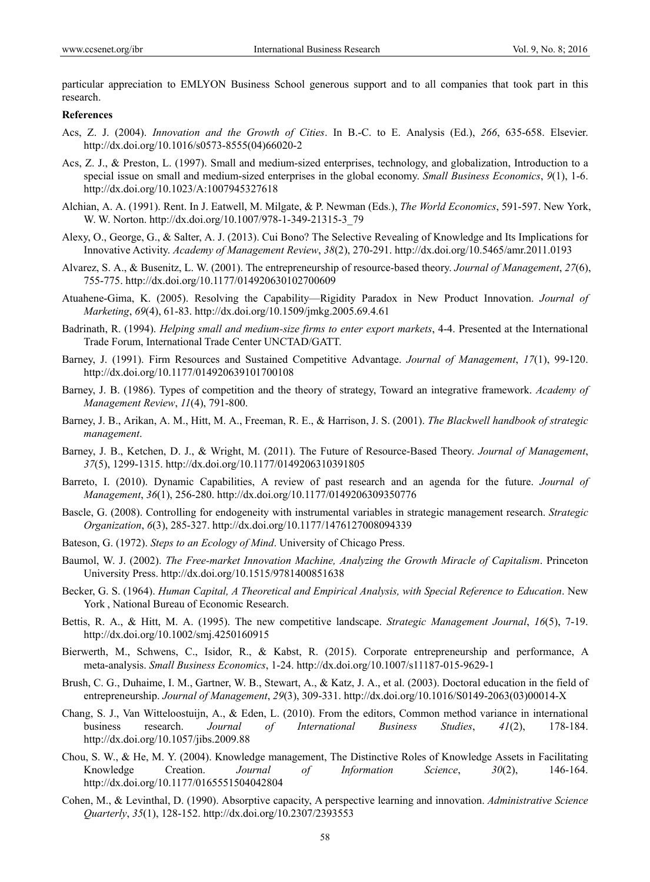particular appreciation to EMLYON Business School generous support and to all companies that took part in this research.

## **References**

- Acs, Z. J. (2004). *Innovation and the Growth of Cities*. In B.-C. to E. Analysis (Ed.), *266*, 635-658. Elsevier. http://dx.doi.org/10.1016/s0573-8555(04)66020-2
- Acs, Z. J., & Preston, L. (1997). Small and medium-sized enterprises, technology, and globalization, Introduction to a special issue on small and medium-sized enterprises in the global economy. *Small Business Economics*, *9*(1), 1-6. http://dx.doi.org/10.1023/A:1007945327618
- Alchian, A. A. (1991). Rent. In J. Eatwell, M. Milgate, & P. Newman (Eds.), *The World Economics*, 591-597. New York, W. W. Norton. http://dx.doi.org/10.1007/978-1-349-21315-3\_79
- Alexy, O., George, G., & Salter, A. J. (2013). Cui Bono? The Selective Revealing of Knowledge and Its Implications for Innovative Activity. *Academy of Management Review*, *38*(2), 270-291. http://dx.doi.org/10.5465/amr.2011.0193
- Alvarez, S. A., & Busenitz, L. W. (2001). The entrepreneurship of resource-based theory. *Journal of Management*, *27*(6), 755-775. http://dx.doi.org/10.1177/014920630102700609
- Atuahene-Gima, K. (2005). Resolving the Capability—Rigidity Paradox in New Product Innovation. *Journal of Marketing*, *69*(4), 61-83. http://dx.doi.org/10.1509/jmkg.2005.69.4.61
- Badrinath, R. (1994). *Helping small and medium-size firms to enter export markets*, 4-4. Presented at the International Trade Forum, International Trade Center UNCTAD/GATT.
- Barney, J. (1991). Firm Resources and Sustained Competitive Advantage. *Journal of Management*, *17*(1), 99-120. http://dx.doi.org/10.1177/014920639101700108
- Barney, J. B. (1986). Types of competition and the theory of strategy, Toward an integrative framework. *Academy of Management Review*, *11*(4), 791-800.
- Barney, J. B., Arikan, A. M., Hitt, M. A., Freeman, R. E., & Harrison, J. S. (2001). *The Blackwell handbook of strategic management*.
- Barney, J. B., Ketchen, D. J., & Wright, M. (2011). The Future of Resource-Based Theory. *Journal of Management*, *37*(5), 1299-1315. http://dx.doi.org/10.1177/0149206310391805
- Barreto, I. (2010). Dynamic Capabilities, A review of past research and an agenda for the future. *Journal of Management*, *36*(1), 256-280. http://dx.doi.org/10.1177/0149206309350776
- Bascle, G. (2008). Controlling for endogeneity with instrumental variables in strategic management research. *Strategic Organization*, *6*(3), 285-327. http://dx.doi.org/10.1177/1476127008094339
- Bateson, G. (1972). *Steps to an Ecology of Mind*. University of Chicago Press.
- Baumol, W. J. (2002). *The Free-market Innovation Machine, Analyzing the Growth Miracle of Capitalism*. Princeton University Press. http://dx.doi.org/10.1515/9781400851638
- Becker, G. S. (1964). *Human Capital, A Theoretical and Empirical Analysis, with Special Reference to Education*. New York , National Bureau of Economic Research.
- Bettis, R. A., & Hitt, M. A. (1995). The new competitive landscape. *Strategic Management Journal*, *16*(5), 7-19. http://dx.doi.org/10.1002/smj.4250160915
- Bierwerth, M., Schwens, C., Isidor, R., & Kabst, R. (2015). Corporate entrepreneurship and performance, A meta-analysis. *Small Business Economics*, 1-24. http://dx.doi.org/10.1007/s11187-015-9629-1
- Brush, C. G., Duhaime, I. M., Gartner, W. B., Stewart, A., & Katz, J. A., et al. (2003). Doctoral education in the field of entrepreneurship. *Journal of Management*, *29*(3), 309-331. http://dx.doi.org/10.1016/S0149-2063(03)00014-X
- Chang, S. J., Van Witteloostuijn, A., & Eden, L. (2010). From the editors, Common method variance in international business research. *Journal of International Business Studies*, *41*(2), 178-184. http://dx.doi.org/10.1057/jibs.2009.88
- Chou, S. W., & He, M. Y. (2004). Knowledge management, The Distinctive Roles of Knowledge Assets in Facilitating Knowledge Creation. *Journal of Information Science*, *30*(2), 146-164. http://dx.doi.org/10.1177/0165551504042804
- Cohen, M., & Levinthal, D. (1990). Absorptive capacity, A perspective learning and innovation. *Administrative Science Quarterly*, *35*(1), 128-152. http://dx.doi.org/10.2307/2393553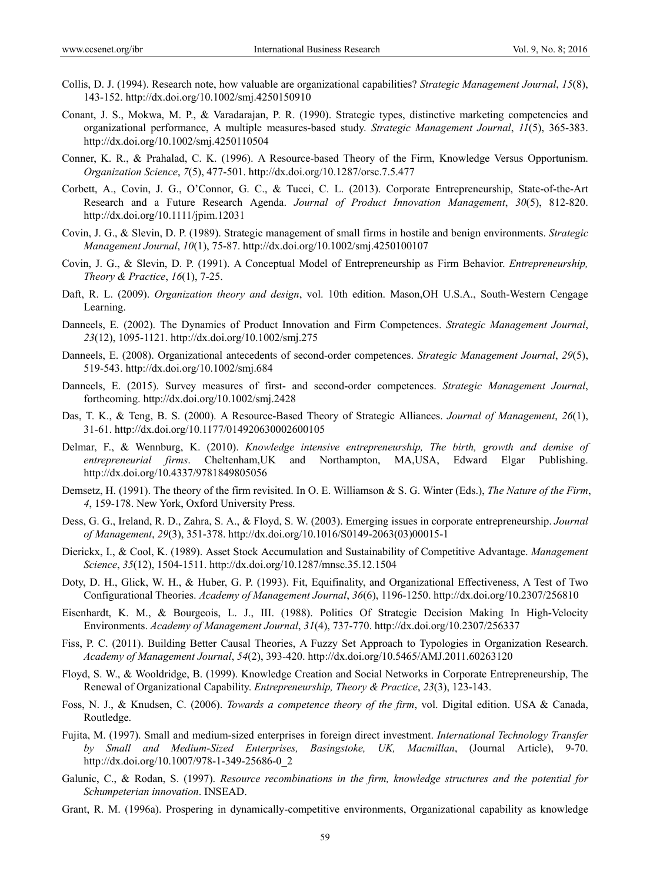- Collis, D. J. (1994). Research note, how valuable are organizational capabilities? *Strategic Management Journal*, *15*(8), 143-152. http://dx.doi.org/10.1002/smj.4250150910
- Conant, J. S., Mokwa, M. P., & Varadarajan, P. R. (1990). Strategic types, distinctive marketing competencies and organizational performance, A multiple measures-based study. *Strategic Management Journal*, *11*(5), 365-383. http://dx.doi.org/10.1002/smj.4250110504
- Conner, K. R., & Prahalad, C. K. (1996). A Resource-based Theory of the Firm, Knowledge Versus Opportunism. *Organization Science*, *7*(5), 477-501. http://dx.doi.org/10.1287/orsc.7.5.477
- Corbett, A., Covin, J. G., O'Connor, G. C., & Tucci, C. L. (2013). Corporate Entrepreneurship, State-of-the-Art Research and a Future Research Agenda. *Journal of Product Innovation Management*, *30*(5), 812-820. http://dx.doi.org/10.1111/jpim.12031
- Covin, J. G., & Slevin, D. P. (1989). Strategic management of small firms in hostile and benign environments. *Strategic Management Journal*, *10*(1), 75-87. http://dx.doi.org/10.1002/smj.4250100107
- Covin, J. G., & Slevin, D. P. (1991). A Conceptual Model of Entrepreneurship as Firm Behavior. *Entrepreneurship, Theory & Practice*, *16*(1), 7-25.
- Daft, R. L. (2009). *Organization theory and design*, vol. 10th edition. Mason,OH U.S.A., South-Western Cengage Learning.
- Danneels, E. (2002). The Dynamics of Product Innovation and Firm Competences. *Strategic Management Journal*, *23*(12), 1095-1121. http://dx.doi.org/10.1002/smj.275
- Danneels, E. (2008). Organizational antecedents of second-order competences. *Strategic Management Journal*, *29*(5), 519-543. http://dx.doi.org/10.1002/smj.684
- Danneels, E. (2015). Survey measures of first- and second-order competences. *Strategic Management Journal*, forthcoming. http://dx.doi.org/10.1002/smj.2428
- Das, T. K., & Teng, B. S. (2000). A Resource-Based Theory of Strategic Alliances. *Journal of Management*, *26*(1), 31-61. http://dx.doi.org/10.1177/014920630002600105
- Delmar, F., & Wennburg, K. (2010). *Knowledge intensive entrepreneurship, The birth, growth and demise of entrepreneurial firms*. Cheltenham,UK and Northampton, MA,USA, Edward Elgar Publishing. http://dx.doi.org/10.4337/9781849805056
- Demsetz, H. (1991). The theory of the firm revisited. In O. E. Williamson & S. G. Winter (Eds.), *The Nature of the Firm*, *4*, 159-178. New York, Oxford University Press.
- Dess, G. G., Ireland, R. D., Zahra, S. A., & Floyd, S. W. (2003). Emerging issues in corporate entrepreneurship. *Journal of Management*, *29*(3), 351-378. http://dx.doi.org/10.1016/S0149-2063(03)00015-1
- Dierickx, I., & Cool, K. (1989). Asset Stock Accumulation and Sustainability of Competitive Advantage. *Management Science*, *35*(12), 1504-1511. http://dx.doi.org/10.1287/mnsc.35.12.1504
- Doty, D. H., Glick, W. H., & Huber, G. P. (1993). Fit, Equifinality, and Organizational Effectiveness, A Test of Two Configurational Theories. *Academy of Management Journal*, *36*(6), 1196-1250. http://dx.doi.org/10.2307/256810
- Eisenhardt, K. M., & Bourgeois, L. J., III. (1988). Politics Of Strategic Decision Making In High-Velocity Environments. *Academy of Management Journal*, *31*(4), 737-770. http://dx.doi.org/10.2307/256337
- Fiss, P. C. (2011). Building Better Causal Theories, A Fuzzy Set Approach to Typologies in Organization Research. *Academy of Management Journal*, *54*(2), 393-420. http://dx.doi.org/10.5465/AMJ.2011.60263120
- Floyd, S. W., & Wooldridge, B. (1999). Knowledge Creation and Social Networks in Corporate Entrepreneurship, The Renewal of Organizational Capability. *Entrepreneurship, Theory & Practice*, *23*(3), 123-143.
- Foss, N. J., & Knudsen, C. (2006). *Towards a competence theory of the firm*, vol. Digital edition. USA & Canada, Routledge.
- Fujita, M. (1997). Small and medium-sized enterprises in foreign direct investment. *International Technology Transfer by Small and Medium-Sized Enterprises, Basingstoke, UK, Macmillan*, (Journal Article), 9-70. http://dx.doi.org/10.1007/978-1-349-25686-0\_2
- Galunic, C., & Rodan, S. (1997). *Resource recombinations in the firm, knowledge structures and the potential for Schumpeterian innovation*. INSEAD.
- Grant, R. M. (1996a). Prospering in dynamically-competitive environments, Organizational capability as knowledge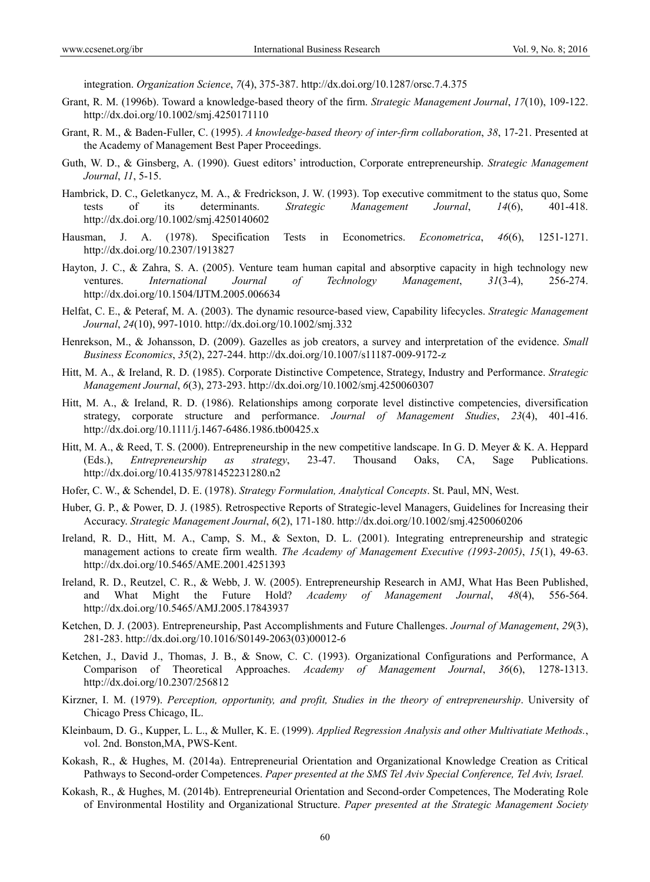integration. *Organization Science*, *7*(4), 375-387. http://dx.doi.org/10.1287/orsc.7.4.375

- Grant, R. M. (1996b). Toward a knowledge-based theory of the firm. *Strategic Management Journal*, *17*(10), 109-122. http://dx.doi.org/10.1002/smj.4250171110
- Grant, R. M., & Baden-Fuller, C. (1995). *A knowledge-based theory of inter-firm collaboration*, *38*, 17-21. Presented at the Academy of Management Best Paper Proceedings.
- Guth, W. D., & Ginsberg, A. (1990). Guest editors' introduction, Corporate entrepreneurship. *Strategic Management Journal*, *11*, 5-15.
- Hambrick, D. C., Geletkanycz, M. A., & Fredrickson, J. W. (1993). Top executive commitment to the status quo, Some tests of its determinants. *Strategic Management Journal*, *14*(6), 401-418. http://dx.doi.org/10.1002/smj.4250140602
- Hausman, J. A. (1978). Specification Tests in Econometrics. *Econometrica*, *46*(6), 1251-1271. http://dx.doi.org/10.2307/1913827
- Hayton, J. C., & Zahra, S. A. (2005). Venture team human capital and absorptive capacity in high technology new ventures. *International Journal of Technology Management*, *31*(3-4), 256-274. http://dx.doi.org/10.1504/IJTM.2005.006634
- Helfat, C. E., & Peteraf, M. A. (2003). The dynamic resource-based view, Capability lifecycles. *Strategic Management Journal*, *24*(10), 997-1010. http://dx.doi.org/10.1002/smj.332
- Henrekson, M., & Johansson, D. (2009). Gazelles as job creators, a survey and interpretation of the evidence. *Small Business Economics*, *35*(2), 227-244. http://dx.doi.org/10.1007/s11187-009-9172-z
- Hitt, M. A., & Ireland, R. D. (1985). Corporate Distinctive Competence, Strategy, Industry and Performance. *Strategic Management Journal*, *6*(3), 273-293. http://dx.doi.org/10.1002/smj.4250060307
- Hitt, M. A., & Ireland, R. D. (1986). Relationships among corporate level distinctive competencies, diversification strategy, corporate structure and performance. *Journal of Management Studies*, *23*(4), 401-416. http://dx.doi.org/10.1111/j.1467-6486.1986.tb00425.x
- Hitt, M. A., & Reed, T. S. (2000). Entrepreneurship in the new competitive landscape. In G. D. Meyer & K. A. Heppard (Eds.), *Entrepreneurship as strategy*, 23-47. Thousand Oaks, CA, Sage Publications. http://dx.doi.org/10.4135/9781452231280.n2
- Hofer, C. W., & Schendel, D. E. (1978). *Strategy Formulation, Analytical Concepts*. St. Paul, MN, West.
- Huber, G. P., & Power, D. J. (1985). Retrospective Reports of Strategic-level Managers, Guidelines for Increasing their Accuracy. *Strategic Management Journal*, *6*(2), 171-180. http://dx.doi.org/10.1002/smj.4250060206
- Ireland, R. D., Hitt, M. A., Camp, S. M., & Sexton, D. L. (2001). Integrating entrepreneurship and strategic management actions to create firm wealth. *The Academy of Management Executive (1993-2005)*, *15*(1), 49-63. http://dx.doi.org/10.5465/AME.2001.4251393
- Ireland, R. D., Reutzel, C. R., & Webb, J. W. (2005). Entrepreneurship Research in AMJ, What Has Been Published, and What Might the Future Hold? *Academy of Management Journal*, *48*(4), 556-564. http://dx.doi.org/10.5465/AMJ.2005.17843937
- Ketchen, D. J. (2003). Entrepreneurship, Past Accomplishments and Future Challenges. *Journal of Management*, *29*(3), 281-283. http://dx.doi.org/10.1016/S0149-2063(03)00012-6
- Ketchen, J., David J., Thomas, J. B., & Snow, C. C. (1993). Organizational Configurations and Performance, A Comparison of Theoretical Approaches. *Academy of Management Journal*, *36*(6), 1278-1313. http://dx.doi.org/10.2307/256812
- Kirzner, I. M. (1979). *Perception, opportunity, and profit, Studies in the theory of entrepreneurship*. University of Chicago Press Chicago, IL.
- Kleinbaum, D. G., Kupper, L. L., & Muller, K. E. (1999). *Applied Regression Analysis and other Multivatiate Methods.*, vol. 2nd. Bonston,MA, PWS-Kent.
- Kokash, R., & Hughes, M. (2014a). Entrepreneurial Orientation and Organizational Knowledge Creation as Critical Pathways to Second-order Competences. *Paper presented at the SMS Tel Aviv Special Conference, Tel Aviv, Israel.*
- Kokash, R., & Hughes, M. (2014b). Entrepreneurial Orientation and Second-order Competences, The Moderating Role of Environmental Hostility and Organizational Structure. *Paper presented at the Strategic Management Society*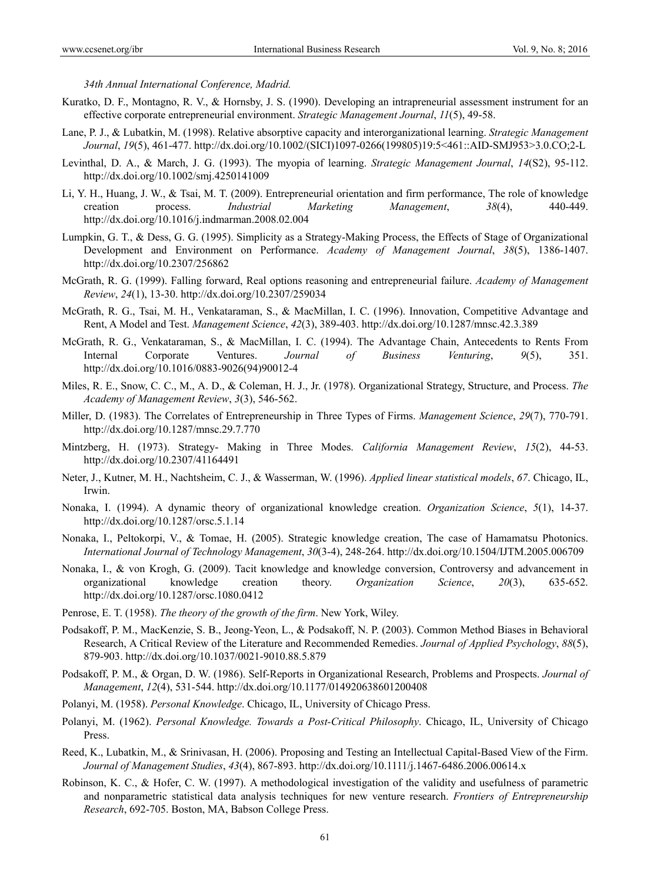*34th Annual International Conference, Madrid.*

- Kuratko, D. F., Montagno, R. V., & Hornsby, J. S. (1990). Developing an intrapreneurial assessment instrument for an effective corporate entrepreneurial environment. *Strategic Management Journal*, *11*(5), 49-58.
- Lane, P. J., & Lubatkin, M. (1998). Relative absorptive capacity and interorganizational learning. *Strategic Management Journal*, *19*(5), 461-477. http://dx.doi.org/10.1002/(SICI)1097-0266(199805)19:5<461::AID-SMJ953>3.0.CO;2-L
- Levinthal, D. A., & March, J. G. (1993). The myopia of learning. *Strategic Management Journal*, *14*(S2), 95-112. http://dx.doi.org/10.1002/smj.4250141009
- Li, Y. H., Huang, J. W., & Tsai, M. T. (2009). Entrepreneurial orientation and firm performance, The role of knowledge creation process. *Industrial Marketing Management*, *38*(4), 440-449. http://dx.doi.org/10.1016/j.indmarman.2008.02.004
- Lumpkin, G. T., & Dess, G. G. (1995). Simplicity as a Strategy-Making Process, the Effects of Stage of Organizational Development and Environment on Performance. *Academy of Management Journal*, *38*(5), 1386-1407. http://dx.doi.org/10.2307/256862
- McGrath, R. G. (1999). Falling forward, Real options reasoning and entrepreneurial failure. *Academy of Management Review*, *24*(1), 13-30. http://dx.doi.org/10.2307/259034
- McGrath, R. G., Tsai, M. H., Venkataraman, S., & MacMillan, I. C. (1996). Innovation, Competitive Advantage and Rent, A Model and Test. *Management Science*, *42*(3), 389-403. http://dx.doi.org/10.1287/mnsc.42.3.389
- McGrath, R. G., Venkataraman, S., & MacMillan, I. C. (1994). The Advantage Chain, Antecedents to Rents From Internal Corporate Ventures. *Journal of Business Venturing*, *9*(5), 351. http://dx.doi.org/10.1016/0883-9026(94)90012-4
- Miles, R. E., Snow, C. C., M., A. D., & Coleman, H. J., Jr. (1978). Organizational Strategy, Structure, and Process. *The Academy of Management Review*, *3*(3), 546-562.
- Miller, D. (1983). The Correlates of Entrepreneurship in Three Types of Firms. *Management Science*, *29*(7), 770-791. http://dx.doi.org/10.1287/mnsc.29.7.770
- Mintzberg, H. (1973). Strategy- Making in Three Modes. *California Management Review*, *15*(2), 44-53. http://dx.doi.org/10.2307/41164491
- Neter, J., Kutner, M. H., Nachtsheim, C. J., & Wasserman, W. (1996). *Applied linear statistical models*, *67*. Chicago, IL, Irwin.
- Nonaka, I. (1994). A dynamic theory of organizational knowledge creation. *Organization Science*, *5*(1), 14-37. http://dx.doi.org/10.1287/orsc.5.1.14
- Nonaka, I., Peltokorpi, V., & Tomae, H. (2005). Strategic knowledge creation, The case of Hamamatsu Photonics. *International Journal of Technology Management*, *30*(3-4), 248-264. http://dx.doi.org/10.1504/IJTM.2005.006709
- Nonaka, I., & von Krogh, G. (2009). Tacit knowledge and knowledge conversion, Controversy and advancement in organizational knowledge creation theory. *Organization Science*, *20*(3), 635-652. http://dx.doi.org/10.1287/orsc.1080.0412
- Penrose, E. T. (1958). *The theory of the growth of the firm*. New York, Wiley.
- Podsakoff, P. M., MacKenzie, S. B., Jeong-Yeon, L., & Podsakoff, N. P. (2003). Common Method Biases in Behavioral Research, A Critical Review of the Literature and Recommended Remedies. *Journal of Applied Psychology*, *88*(5), 879-903. http://dx.doi.org/10.1037/0021-9010.88.5.879
- Podsakoff, P. M., & Organ, D. W. (1986). Self-Reports in Organizational Research, Problems and Prospects. *Journal of Management*, *12*(4), 531-544. http://dx.doi.org/10.1177/014920638601200408
- Polanyi, M. (1958). *Personal Knowledge*. Chicago, IL, University of Chicago Press.
- Polanyi, M. (1962). *Personal Knowledge. Towards a Post-Critical Philosophy*. Chicago, IL, University of Chicago Press.
- Reed, K., Lubatkin, M., & Srinivasan, H. (2006). Proposing and Testing an Intellectual Capital-Based View of the Firm. *Journal of Management Studies*, *43*(4), 867-893. http://dx.doi.org/10.1111/j.1467-6486.2006.00614.x
- Robinson, K. C., & Hofer, C. W. (1997). A methodological investigation of the validity and usefulness of parametric and nonparametric statistical data analysis techniques for new venture research. *Frontiers of Entrepreneurship Research*, 692-705. Boston, MA, Babson College Press.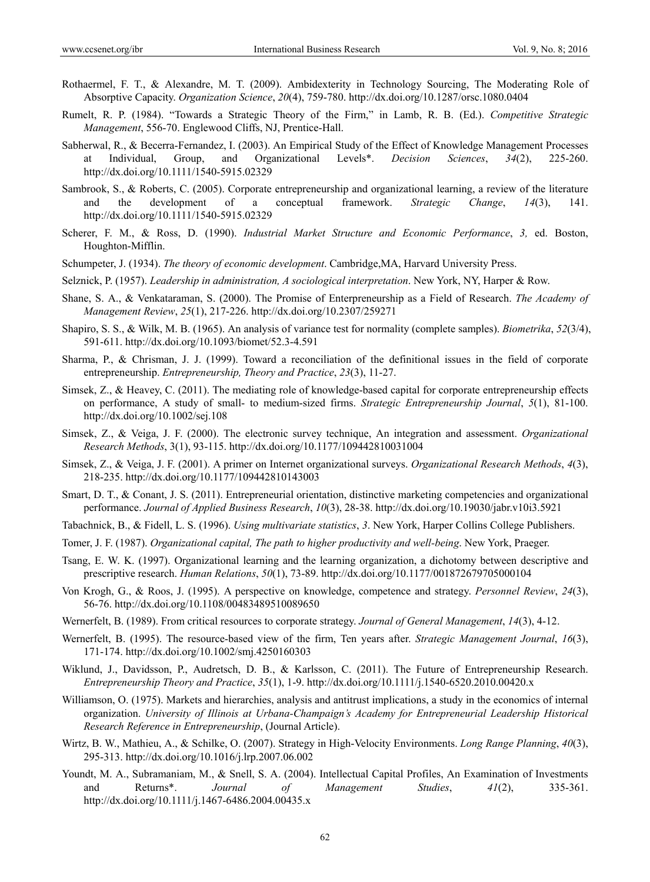- Rothaermel, F. T., & Alexandre, M. T. (2009). Ambidexterity in Technology Sourcing, The Moderating Role of Absorptive Capacity. *Organization Science*, *20*(4), 759-780. http://dx.doi.org/10.1287/orsc.1080.0404
- Rumelt, R. P. (1984). "Towards a Strategic Theory of the Firm," in Lamb, R. B. (Ed.). *Competitive Strategic Management*, 556-70. Englewood Cliffs, NJ, Prentice-Hall.
- Sabherwal, R., & Becerra-Fernandez, I. (2003). An Empirical Study of the Effect of Knowledge Management Processes at Individual, Group, and Organizational Levels\*. *Decision Sciences*, *34*(2), 225-260. http://dx.doi.org/10.1111/1540-5915.02329
- Sambrook, S., & Roberts, C. (2005). Corporate entrepreneurship and organizational learning, a review of the literature and the development of a conceptual framework. *Strategic Change*, *14*(3), 141. http://dx.doi.org/10.1111/1540-5915.02329
- Scherer, F. M., & Ross, D. (1990). *Industrial Market Structure and Economic Performance*, *3,* ed. Boston, Houghton-Mifflin.
- Schumpeter, J. (1934). *The theory of economic development*. Cambridge,MA, Harvard University Press.
- Selznick, P. (1957). *Leadership in administration, A sociological interpretation*. New York, NY, Harper & Row.
- Shane, S. A., & Venkataraman, S. (2000). The Promise of Enterpreneurship as a Field of Research. *The Academy of Management Review*, *25*(1), 217-226. http://dx.doi.org/10.2307/259271
- Shapiro, S. S., & Wilk, M. B. (1965). An analysis of variance test for normality (complete samples). *Biometrika*, *52*(3/4), 591-611. http://dx.doi.org/10.1093/biomet/52.3-4.591
- Sharma, P., & Chrisman, J. J. (1999). Toward a reconciliation of the definitional issues in the field of corporate entrepreneurship. *Entrepreneurship, Theory and Practice*, *23*(3), 11-27.
- Simsek, Z., & Heavey, C. (2011). The mediating role of knowledge-based capital for corporate entrepreneurship effects on performance, A study of small- to medium-sized firms. *Strategic Entrepreneurship Journal*, *5*(1), 81-100. http://dx.doi.org/10.1002/sej.108
- Simsek, Z., & Veiga, J. F. (2000). The electronic survey technique, An integration and assessment. *Organizational Research Methods*, 3(1), 93-115. http://dx.doi.org/10.1177/109442810031004
- Simsek, Z., & Veiga, J. F. (2001). A primer on Internet organizational surveys. *Organizational Research Methods*, *4*(3), 218-235. http://dx.doi.org/10.1177/109442810143003
- Smart, D. T., & Conant, J. S. (2011). Entrepreneurial orientation, distinctive marketing competencies and organizational performance. *Journal of Applied Business Research*, *10*(3), 28-38. http://dx.doi.org/10.19030/jabr.v10i3.5921
- Tabachnick, B., & Fidell, L. S. (1996). *Using multivariate statistics*, *3*. New York, Harper Collins College Publishers.
- Tomer, J. F. (1987). *Organizational capital, The path to higher productivity and well-being*. New York, Praeger.
- Tsang, E. W. K. (1997). Organizational learning and the learning organization, a dichotomy between descriptive and prescriptive research. *Human Relations*, *50*(1), 73-89. http://dx.doi.org/10.1177/001872679705000104
- Von Krogh, G., & Roos, J. (1995). A perspective on knowledge, competence and strategy. *Personnel Review*, *24*(3), 56-76. http://dx.doi.org/10.1108/00483489510089650
- Wernerfelt, B. (1989). From critical resources to corporate strategy. *Journal of General Management*, *14*(3), 4-12.
- Wernerfelt, B. (1995). The resource-based view of the firm, Ten years after. *Strategic Management Journal*, *16*(3), 171-174. http://dx.doi.org/10.1002/smj.4250160303
- Wiklund, J., Davidsson, P., Audretsch, D. B., & Karlsson, C. (2011). The Future of Entrepreneurship Research. *Entrepreneurship Theory and Practice*, *35*(1), 1-9. http://dx.doi.org/10.1111/j.1540-6520.2010.00420.x
- Williamson, O. (1975). Markets and hierarchies, analysis and antitrust implications, a study in the economics of internal organization. *University of Illinois at Urbana-Champaign's Academy for Entrepreneurial Leadership Historical Research Reference in Entrepreneurship*, (Journal Article).
- Wirtz, B. W., Mathieu, A., & Schilke, O. (2007). Strategy in High-Velocity Environments. *Long Range Planning*, *40*(3), 295-313. http://dx.doi.org/10.1016/j.lrp.2007.06.002
- Youndt, M. A., Subramaniam, M., & Snell, S. A. (2004). Intellectual Capital Profiles, An Examination of Investments and Returns\*. *Journal of Management Studies*, *41*(2), 335-361. http://dx.doi.org/10.1111/j.1467-6486.2004.00435.x